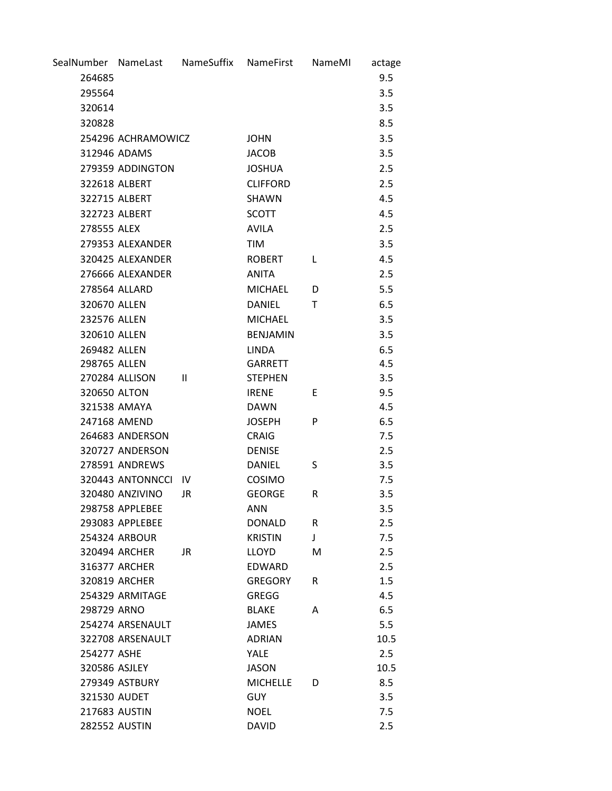|               | SealNumber NameLast NameSuffix |              | NameFirst       | NameMI | actage |
|---------------|--------------------------------|--------------|-----------------|--------|--------|
| 264685        |                                |              |                 |        | 9.5    |
| 295564        |                                |              |                 |        | 3.5    |
| 320614        |                                |              |                 |        | 3.5    |
| 320828        |                                |              |                 |        | 8.5    |
|               | 254296 ACHRAMOWICZ             |              | <b>JOHN</b>     |        | 3.5    |
|               | 312946 ADAMS                   |              | <b>JACOB</b>    |        | 3.5    |
|               | 279359 ADDINGTON               |              | <b>JOSHUA</b>   |        | 2.5    |
|               | 322618 ALBERT                  |              | <b>CLIFFORD</b> |        | 2.5    |
|               | 322715 ALBERT                  |              | SHAWN           |        | 4.5    |
|               | 322723 ALBERT                  |              | <b>SCOTT</b>    |        | 4.5    |
| 278555 ALEX   |                                |              | <b>AVILA</b>    |        | 2.5    |
|               | 279353 ALEXANDER               |              | TIM             |        | 3.5    |
|               | 320425 ALEXANDER               |              | <b>ROBERT</b>   | L      | 4.5    |
|               | 276666 ALEXANDER               |              | <b>ANITA</b>    |        | 2.5    |
|               | 278564 ALLARD                  |              | <b>MICHAEL</b>  | D      | 5.5    |
| 320670 ALLEN  |                                |              | <b>DANIEL</b>   | Т      | 6.5    |
| 232576 ALLEN  |                                |              | <b>MICHAEL</b>  |        | 3.5    |
| 320610 ALLEN  |                                |              | <b>BENJAMIN</b> |        | 3.5    |
| 269482 ALLEN  |                                |              | <b>LINDA</b>    |        | 6.5    |
| 298765 ALLEN  |                                |              | <b>GARRETT</b>  |        | 4.5    |
|               | 270284 ALLISON                 | $\mathbf{H}$ | <b>STEPHEN</b>  |        | 3.5    |
| 320650 ALTON  |                                |              | <b>IRENE</b>    | E      | 9.5    |
|               | 321538 AMAYA                   |              | <b>DAWN</b>     |        | 4.5    |
|               | 247168 AMEND                   |              | <b>JOSEPH</b>   | P      | 6.5    |
|               | 264683 ANDERSON                |              | <b>CRAIG</b>    |        | 7.5    |
|               | 320727 ANDERSON                |              | <b>DENISE</b>   |        | 2.5    |
|               | 278591 ANDREWS                 |              | <b>DANIEL</b>   | S      | 3.5    |
|               | 320443 ANTONNCCI IV            |              | COSIMO          |        | 7.5    |
|               | 320480 ANZIVINO                | <b>JR</b>    | <b>GEORGE</b>   | R      | 3.5    |
|               | 298758 APPLEBEE                |              | <b>ANN</b>      |        | 3.5    |
|               | 293083 APPLEBEE                |              | <b>DONALD</b>   | R      | 2.5    |
|               | 254324 ARBOUR                  |              | <b>KRISTIN</b>  | J      | 7.5    |
|               | 320494 ARCHER                  | JR.          | LLOYD           | M      | 2.5    |
|               | 316377 ARCHER                  |              | EDWARD          |        | 2.5    |
|               | 320819 ARCHER                  |              | <b>GREGORY</b>  | R      | 1.5    |
|               | 254329 ARMITAGE                |              | <b>GREGG</b>    |        | 4.5    |
| 298729 ARNO   |                                |              | <b>BLAKE</b>    | A      | 6.5    |
|               | 254274 ARSENAULT               |              | <b>JAMES</b>    |        | 5.5    |
|               | 322708 ARSENAULT               |              | <b>ADRIAN</b>   |        | 10.5   |
| 254277 ASHE   |                                |              | <b>YALE</b>     |        | 2.5    |
| 320586 ASJLEY |                                |              | <b>JASON</b>    |        | 10.5   |
|               | 279349 ASTBURY                 |              | <b>MICHELLE</b> | D      | 8.5    |
| 321530 AUDET  |                                |              | <b>GUY</b>      |        | 3.5    |
|               | 217683 AUSTIN                  |              | <b>NOEL</b>     |        | 7.5    |
|               | <b>282552 AUSTIN</b>           |              | <b>DAVID</b>    |        | 2.5    |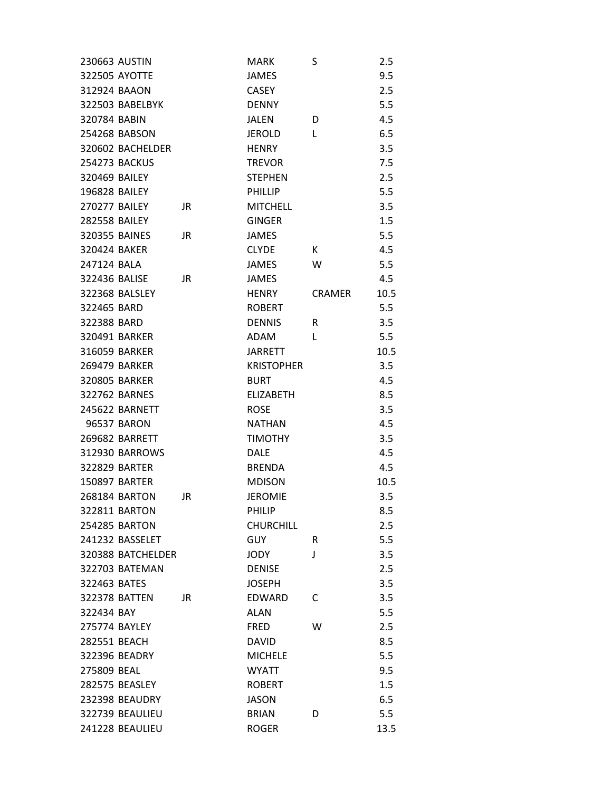| 230663 AUSTIN        |           | <b>MARK</b>       | S             | 2.5  |
|----------------------|-----------|-------------------|---------------|------|
| 322505 AYOTTE        |           | JAMES             |               | 9.5  |
| 312924 BAAON         |           | <b>CASEY</b>      |               | 2.5  |
| 322503 BABELBYK      |           | <b>DENNY</b>      |               | 5.5  |
| 320784 BABIN         |           | <b>JALEN</b>      | D             | 4.5  |
| 254268 BABSON        |           | <b>JEROLD</b>     | L             | 6.5  |
| 320602 BACHELDER     |           | <b>HENRY</b>      |               | 3.5  |
| <b>254273 BACKUS</b> |           | <b>TREVOR</b>     |               | 7.5  |
| 320469 BAILEY        |           | <b>STEPHEN</b>    |               | 2.5  |
| 196828 BAILEY        |           | <b>PHILLIP</b>    |               | 5.5  |
| 270277 BAILEY        | JR        | <b>MITCHELL</b>   |               | 3.5  |
| <b>282558 BAILEY</b> |           | <b>GINGER</b>     |               | 1.5  |
| 320355 BAINES        | JR.       | <b>JAMES</b>      |               | 5.5  |
| 320424 BAKER         |           | <b>CLYDE</b>      | K.            | 4.5  |
| 247124 BALA          |           | <b>JAMES</b>      | W             | 5.5  |
| 322436 BALISE        | JR        | <b>JAMES</b>      |               | 4.5  |
| 322368 BALSLEY       |           | <b>HENRY</b>      | <b>CRAMER</b> | 10.5 |
| 322465 BARD          |           | <b>ROBERT</b>     |               | 5.5  |
| 322388 BARD          |           | <b>DENNIS</b>     | R             | 3.5  |
| 320491 BARKER        |           | <b>ADAM</b>       | L             | 5.5  |
| 316059 BARKER        |           | JARRETT           |               | 10.5 |
| 269479 BARKER        |           | <b>KRISTOPHER</b> |               | 3.5  |
| <b>320805 BARKER</b> |           | <b>BURT</b>       |               | 4.5  |
| 322762 BARNES        |           | <b>ELIZABETH</b>  |               | 8.5  |
| 245622 BARNETT       |           | <b>ROSE</b>       |               | 3.5  |
| 96537 BARON          |           | <b>NATHAN</b>     |               | 4.5  |
| 269682 BARRETT       |           | <b>TIMOTHY</b>    |               | 3.5  |
| 312930 BARROWS       |           | <b>DALE</b>       |               | 4.5  |
| 322829 BARTER        |           | <b>BRENDA</b>     |               | 4.5  |
| 150897 BARTER        |           | <b>MDISON</b>     |               | 10.5 |
| 268184 BARTON        | <b>JR</b> | <b>JEROMIE</b>    |               | 3.5  |
| 322811 BARTON        |           | <b>PHILIP</b>     |               | 8.5  |
| <b>254285 BARTON</b> |           | <b>CHURCHILL</b>  |               | 2.5  |
| 241232 BASSELET      |           | <b>GUY</b>        | R             | 5.5  |
| 320388 BATCHELDER    |           | JODY              | J             | 3.5  |
| 322703 BATEMAN       |           | <b>DENISE</b>     |               | 2.5  |
| 322463 BATES         |           | <b>JOSEPH</b>     |               | 3.5  |
| 322378 BATTEN        | JR.       | <b>EDWARD</b>     | C             | 3.5  |
| 322434 BAY           |           | <b>ALAN</b>       |               | 5.5  |
| 275774 BAYLEY        |           | <b>FRED</b>       | W             | 2.5  |
| 282551 BEACH         |           | <b>DAVID</b>      |               | 8.5  |
| 322396 BEADRY        |           | <b>MICHELE</b>    |               | 5.5  |
| 275809 BEAL          |           | <b>WYATT</b>      |               | 9.5  |
| 282575 BEASLEY       |           | <b>ROBERT</b>     |               | 1.5  |
| 232398 BEAUDRY       |           | <b>JASON</b>      |               | 6.5  |
| 322739 BEAULIEU      |           | <b>BRIAN</b>      | D             | 5.5  |
| 241228 BEAULIEU      |           | <b>ROGER</b>      |               | 13.5 |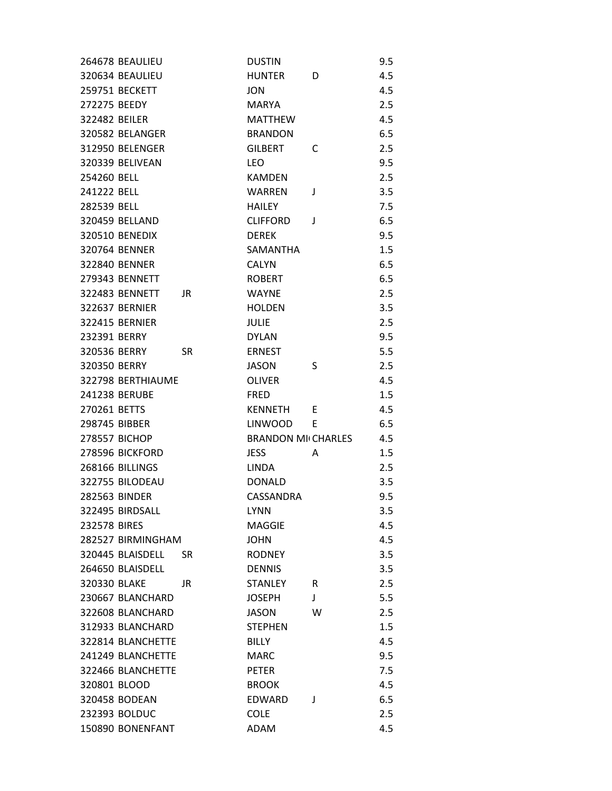|               | 264678 BEAULIEU       |     | <b>DUSTIN</b>             |   | 9.5 |
|---------------|-----------------------|-----|---------------------------|---|-----|
|               | 320634 BEAULIEU       |     | <b>HUNTER</b>             | D | 4.5 |
|               | 259751 BECKETT        |     | <b>JON</b>                |   | 4.5 |
| 272275 BEEDY  |                       |     | <b>MARYA</b>              |   | 2.5 |
| 322482 BEILER |                       |     | <b>MATTHEW</b>            |   | 4.5 |
|               | 320582 BELANGER       |     | <b>BRANDON</b>            |   | 6.5 |
|               | 312950 BELENGER       |     | <b>GILBERT</b>            | C | 2.5 |
|               | 320339 BELIVEAN       |     | <b>LEO</b>                |   | 9.5 |
| 254260 BELL   |                       |     | <b>KAMDEN</b>             |   | 2.5 |
| 241222 BELL   |                       |     | <b>WARREN</b>             | J | 3.5 |
| 282539 BELL   |                       |     | <b>HAILEY</b>             |   | 7.5 |
|               | 320459 BELLAND        |     | <b>CLIFFORD</b>           | J | 6.5 |
|               | <b>320510 BENEDIX</b> |     | <b>DEREK</b>              |   | 9.5 |
|               | 320764 BENNER         |     | SAMANTHA                  |   | 1.5 |
|               | 322840 BENNER         |     | <b>CALYN</b>              |   | 6.5 |
|               | 279343 BENNETT        |     | <b>ROBERT</b>             |   | 6.5 |
|               | 322483 BENNETT        | JR  | <b>WAYNF</b>              |   | 2.5 |
|               | <b>322637 BERNIER</b> |     | <b>HOLDEN</b>             |   | 3.5 |
|               | <b>322415 BERNIER</b> |     | <b>JULIE</b>              |   | 2.5 |
| 232391 BERRY  |                       |     | <b>DYLAN</b>              |   | 9.5 |
| 320536 BERRY  |                       | SR  | <b>ERNEST</b>             |   | 5.5 |
| 320350 BERRY  |                       |     | <b>JASON</b>              | S | 2.5 |
|               | 322798 BERTHIAUME     |     | <b>OLIVER</b>             |   | 4.5 |
|               | 241238 BERUBE         |     | <b>FRED</b>               |   | 1.5 |
| 270261 BETTS  |                       |     | <b>KENNETH</b>            | E | 4.5 |
| 298745 BIBBER |                       |     | <b>LINWOOD</b>            | F | 6.5 |
|               | 278557 BICHOP         |     | <b>BRANDON MI CHARLES</b> |   | 4.5 |
|               | 278596 BICKFORD       |     | <b>JESS</b>               | A | 1.5 |
|               | 268166 BILLINGS       |     | <b>LINDA</b>              |   | 2.5 |
|               | 322755 BILODEAU       |     | <b>DONALD</b>             |   | 3.5 |
|               | 282563 BINDER         |     | CASSANDRA                 |   | 9.5 |
|               | 322495 BIRDSALL       |     | <b>LYNN</b>               |   | 3.5 |
| 232578 BIRES  |                       |     | <b>MAGGIE</b>             |   | 4.5 |
|               | 282527 BIRMINGHAM     |     | <b>JOHN</b>               |   | 4.5 |
|               | 320445 BLAISDELL      | SR. | <b>RODNEY</b>             |   | 3.5 |
|               | 264650 BLAISDELL      |     | <b>DENNIS</b>             |   | 3.5 |
| 320330 BLAKE  |                       | JR  | <b>STANLEY</b>            | R | 2.5 |
|               | 230667 BLANCHARD      |     | <b>JOSEPH</b>             | J | 5.5 |
|               | 322608 BLANCHARD      |     | <b>JASON</b>              | W | 2.5 |
|               | 312933 BLANCHARD      |     | <b>STEPHEN</b>            |   | 1.5 |
|               | 322814 BLANCHETTE     |     | <b>BILLY</b>              |   | 4.5 |
|               | 241249 BLANCHETTE     |     | <b>MARC</b>               |   | 9.5 |
|               | 322466 BLANCHETTE     |     | <b>PETER</b>              |   | 7.5 |
| 320801 BLOOD  |                       |     | <b>BROOK</b>              |   | 4.5 |
|               | 320458 BODEAN         |     | <b>EDWARD</b>             | J | 6.5 |
|               | 232393 BOLDUC         |     | <b>COLE</b>               |   | 2.5 |
|               | 150890 BONENFANT      |     | ADAM                      |   | 4.5 |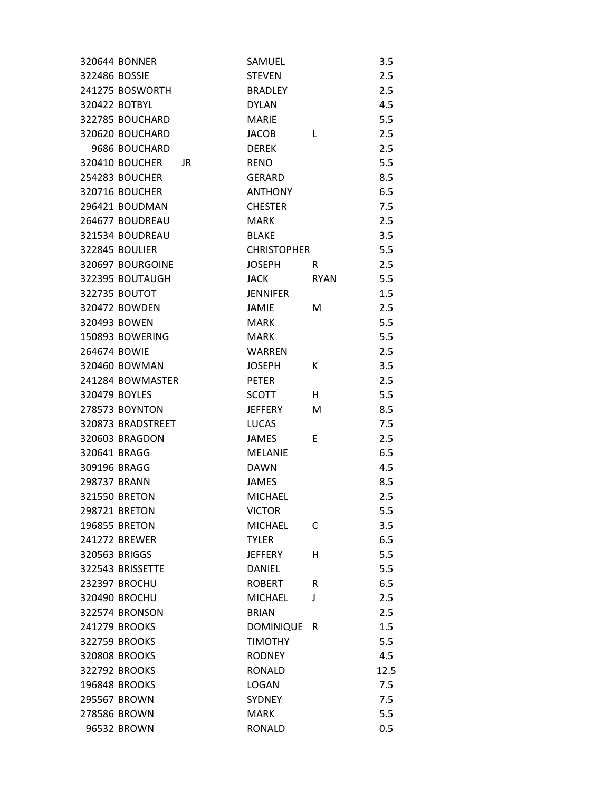|               | 320644 BONNER        |     | SAMUEL             |             | 3.5  |
|---------------|----------------------|-----|--------------------|-------------|------|
| 322486 BOSSIE |                      |     | <b>STEVEN</b>      |             | 2.5  |
|               | 241275 BOSWORTH      |     | <b>BRADLEY</b>     |             | 2.5  |
|               | 320422 BOTBYL        |     | <b>DYLAN</b>       |             | 4.5  |
|               | 322785 BOUCHARD      |     | <b>MARIE</b>       |             | 5.5  |
|               | 320620 BOUCHARD      |     | <b>JACOB</b>       | L           | 2.5  |
|               | 9686 BOUCHARD        |     | <b>DEREK</b>       |             | 2.5  |
|               | 320410 BOUCHER       | JR. | <b>RENO</b>        |             | 5.5  |
|               | 254283 BOUCHER       |     | <b>GERARD</b>      |             | 8.5  |
|               | 320716 BOUCHER       |     | <b>ANTHONY</b>     |             | 6.5  |
|               | 296421 BOUDMAN       |     | <b>CHESTER</b>     |             | 7.5  |
|               | 264677 BOUDREAU      |     | <b>MARK</b>        |             | 2.5  |
|               | 321534 BOUDREAU      |     | <b>BLAKE</b>       |             | 3.5  |
|               | 322845 BOULIER       |     | <b>CHRISTOPHER</b> |             | 5.5  |
|               | 320697 BOURGOINE     |     | JOSEPH             | R.          | 2.5  |
|               | 322395 BOUTAUGH      |     | <b>JACK</b>        | <b>RYAN</b> | 5.5  |
|               | 322735 BOUTOT        |     | <b>JENNIFER</b>    |             | 1.5  |
|               | 320472 BOWDEN        |     | JAMIE              | M           | 2.5  |
|               | 320493 BOWEN         |     | <b>MARK</b>        |             | 5.5  |
|               | 150893 BOWERING      |     | <b>MARK</b>        |             | 5.5  |
| 264674 BOWIE  |                      |     | <b>WARREN</b>      |             | 2.5  |
|               | 320460 BOWMAN        |     | <b>JOSEPH</b>      | К           | 3.5  |
|               | 241284 BOWMASTER     |     | <b>PETER</b>       |             | 2.5  |
|               | 320479 BOYLES        |     | SCOTT              | H.          | 5.5  |
|               | 278573 BOYNTON       |     | JEFFERY            | M           | 8.5  |
|               | 320873 BRADSTREET    |     | <b>LUCAS</b>       |             | 7.5  |
|               | 320603 BRAGDON       |     | JAMES              | E           | 2.5  |
| 320641 BRAGG  |                      |     | <b>MELANIE</b>     |             | 6.5  |
| 309196 BRAGG  |                      |     | <b>DAWN</b>        |             | 4.5  |
| 298737 BRANN  |                      |     | JAMES              |             | 8.5  |
|               | <b>321550 BRETON</b> |     | <b>MICHAEL</b>     |             | 2.5  |
|               | 298721 BRETON        |     | <b>VICTOR</b>      |             | 5.5  |
|               | 196855 BRETON        |     | <b>MICHAEL</b>     | C           | 3.5  |
|               | 241272 BREWER        |     | <b>TYLER</b>       |             | 6.5  |
|               | 320563 BRIGGS        |     | <b>JEFFERY</b>     | н           | 5.5  |
|               | 322543 BRISSETTE     |     | <b>DANIEL</b>      |             | 5.5  |
|               | <b>232397 BROCHU</b> |     | <b>ROBERT</b>      | R           | 6.5  |
|               | 320490 BROCHU        |     | <b>MICHAEL</b>     | J           | 2.5  |
|               | 322574 BRONSON       |     | <b>BRIAN</b>       |             | 2.5  |
|               | 241279 BROOKS        |     | <b>DOMINIQUE</b>   | R           | 1.5  |
|               | 322759 BROOKS        |     | <b>TIMOTHY</b>     |             | 5.5  |
|               | 320808 BROOKS        |     | <b>RODNEY</b>      |             | 4.5  |
|               | 322792 BROOKS        |     | <b>RONALD</b>      |             | 12.5 |
|               | 196848 BROOKS        |     | <b>LOGAN</b>       |             | 7.5  |
|               | 295567 BROWN         |     | <b>SYDNEY</b>      |             | 7.5  |
|               | 278586 BROWN         |     | <b>MARK</b>        |             | 5.5  |
|               | 96532 BROWN          |     | <b>RONALD</b>      |             | 0.5  |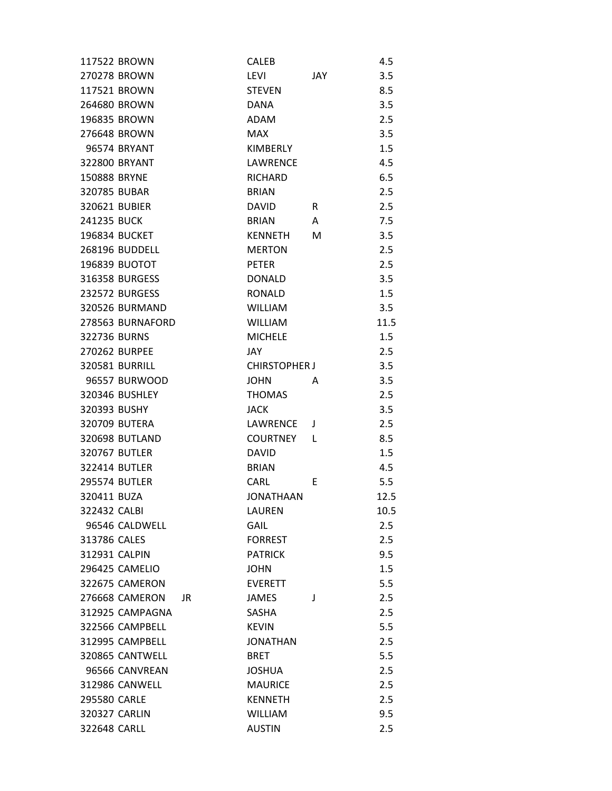| 117522 BROWN          | <b>CALEB</b>         | 4.5  |
|-----------------------|----------------------|------|
| 270278 BROWN          | LEVI<br>JAY.         | 3.5  |
| 117521 BROWN          | <b>STEVEN</b>        | 8.5  |
| 264680 BROWN          | DANA                 | 3.5  |
| 196835 BROWN          | ADAM                 | 2.5  |
| 276648 BROWN          | <b>MAX</b>           | 3.5  |
| 96574 BRYANT          | KIMBERLY             | 1.5  |
| 322800 BRYANT         | <b>LAWRENCE</b>      | 4.5  |
| 150888 BRYNE          | RICHARD              | 6.5  |
| 320785 BUBAR          | <b>BRIAN</b>         | 2.5  |
| 320621 BUBIER         | DAVID<br>R.          | 2.5  |
| 241235 BUCK           | <b>BRIAN</b><br>A    | 7.5  |
| 196834 BUCKET         | <b>KENNETH</b><br>М  | 3.5  |
| 268196 BUDDELL        | <b>MERTON</b>        | 2.5  |
| 196839 BUOTOT         | <b>PETER</b>         | 2.5  |
| 316358 BURGESS        | <b>DONALD</b>        | 3.5  |
| 232572 BURGESS        | <b>RONALD</b>        | 1.5  |
| <b>320526 BURMAND</b> | <b>WILLIAM</b>       | 3.5  |
| 278563 BURNAFORD      | <b>WILLIAM</b>       | 11.5 |
| 322736 BURNS          | <b>MICHELE</b>       | 1.5  |
| 270262 BURPEE         | JAY                  | 2.5  |
| 320581 BURRILL        | <b>CHIRSTOPHER J</b> | 3.5  |
| 96557 BURWOOD         | <b>JOHN</b><br>A     | 3.5  |
| 320346 BUSHLEY        | <b>THOMAS</b>        | 2.5  |
| 320393 BUSHY          | <b>JACK</b>          | 3.5  |
| 320709 BUTERA         | LAWRENCE<br>J        | 2.5  |
| <b>320698 BUTLAND</b> | COURTNEY<br>L        | 8.5  |
| 320767 BUTLER         | <b>DAVID</b>         | 1.5  |
| 322414 BUTLER         | <b>BRIAN</b>         | 4.5  |
| 295574 BUTLER         | CARL<br>E            | 5.5  |
| 320411 BUZA           | <b>JONATHAAN</b>     | 12.5 |
| 322432 CALBI          | <b>LAUREN</b>        | 10.5 |
| 96546 CALDWELL        | <b>GAIL</b>          | 2.5  |
| 313786 CALES          | <b>FORREST</b>       | 2.5  |
| 312931 CALPIN         | <b>PATRICK</b>       | 9.5  |
| <b>296425 CAMELIO</b> | <b>JOHN</b>          | 1.5  |
| 322675 CAMERON        | <b>EVERETT</b>       | 5.5  |
| 276668 CAMERON<br>JR  | <b>JAMES</b><br>J    | 2.5  |
| 312925 CAMPAGNA       | SASHA                | 2.5  |
| 322566 CAMPBELL       | <b>KEVIN</b>         | 5.5  |
| 312995 CAMPBELL       | <b>JONATHAN</b>      | 2.5  |
| 320865 CANTWELL       | BRET                 | 5.5  |
| 96566 CANVREAN        | <b>JOSHUA</b>        | 2.5  |
| 312986 CANWELL        | <b>MAURICE</b>       | 2.5  |
| 295580 CARLE          | <b>KENNETH</b>       | 2.5  |
| 320327 CARLIN         | <b>WILLIAM</b>       | 9.5  |
| 322648 CARLL          | <b>AUSTIN</b>        | 2.5  |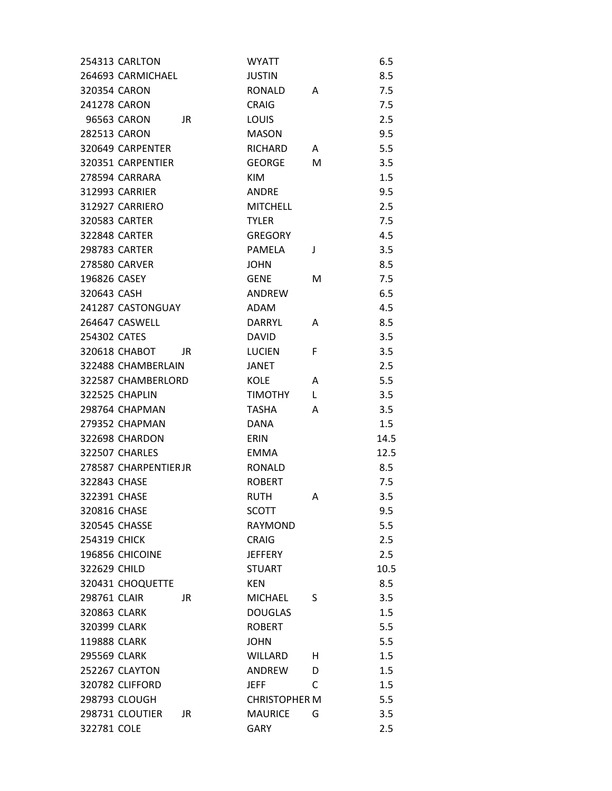| 254313 CARLTON         | <b>WYATT</b>         |    | 6.5  |
|------------------------|----------------------|----|------|
| 264693 CARMICHAEL      | <b>JUSTIN</b>        |    | 8.5  |
| 320354 CARON           | <b>RONALD</b>        | A  | 7.5  |
| 241278 CARON           | <b>CRAIG</b>         |    | 7.5  |
| 96563 CARON<br>JR      | <b>LOUIS</b>         |    | 2.5  |
| 282513 CARON           | <b>MASON</b>         |    | 9.5  |
| 320649 CARPENTER       | RICHARD              | A  | 5.5  |
| 320351 CARPENTIER      | <b>GEORGE</b>        | М  | 3.5  |
| 278594 CARRARA         | KIM                  |    | 1.5  |
| 312993 CARRIER         | <b>ANDRE</b>         |    | 9.5  |
| 312927 CARRIERO        | <b>MITCHELL</b>      |    | 2.5  |
| 320583 CARTER          | <b>TYLER</b>         |    | 7.5  |
| <b>322848 CARTER</b>   | <b>GREGORY</b>       |    | 4.5  |
| <b>298783 CARTER</b>   | PAMELA               | J  | 3.5  |
| 278580 CARVER          | <b>JOHN</b>          |    | 8.5  |
| 196826 CASEY           | <b>GENE</b>          | M  | 7.5  |
| 320643 CASH            | ANDREW               |    | 6.5  |
| 241287 CASTONGUAY      | <b>ADAM</b>          |    | 4.5  |
| 264647 CASWELL         | <b>DARRYL</b>        | A  | 8.5  |
| 254302 CATES           | <b>DAVID</b>         |    | 3.5  |
| 320618 CHABOT<br>JR    | <b>LUCIEN</b>        | F. | 3.5  |
| 322488 CHAMBERLAIN     | JANET                |    | 2.5  |
| 322587 CHAMBERLORD     | <b>KOLE</b>          | A  | 5.5  |
| 322525 CHAPLIN         | <b>TIMOTHY</b>       | L  | 3.5  |
| 298764 CHAPMAN         | <b>TASHA</b>         | A  | 3.5  |
| 279352 CHAPMAN         | DANA                 |    | 1.5  |
| 322698 CHARDON         | <b>ERIN</b>          |    | 14.5 |
| <b>322507 CHARLES</b>  | <b>EMMA</b>          |    | 12.5 |
| 278587 CHARPENTIERJR   | <b>RONALD</b>        |    | 8.5  |
| 322843 CHASE           | <b>ROBERT</b>        |    | 7.5  |
| 322391 CHASE           | <b>RUTH</b>          | A  | 3.5  |
| 320816 CHASE           | SCOTT                |    | 9.5  |
| 320545 CHASSE          | <b>RAYMOND</b>       |    | 5.5  |
| <b>254319 CHICK</b>    | <b>CRAIG</b>         |    | 2.5  |
| 196856 CHICOINE        | <b>JEFFERY</b>       |    | 2.5  |
| 322629 CHILD           | <b>STUART</b>        |    | 10.5 |
| 320431 CHOQUETTE       | KEN                  |    | 8.5  |
| 298761 CLAIR<br>JR.    | <b>MICHAEL</b>       | S  | 3.5  |
| 320863 CLARK           | <b>DOUGLAS</b>       |    | 1.5  |
| 320399 CLARK           | <b>ROBERT</b>        |    | 5.5  |
| 119888 CLARK           | <b>JOHN</b>          |    | 5.5  |
| 295569 CLARK           | <b>WILLARD</b>       | н  | 1.5  |
| 252267 CLAYTON         | ANDREW               | D  | 1.5  |
| 320782 CLIFFORD        | <b>JEFF</b>          | C  | 1.5  |
| 298793 CLOUGH          | <b>CHRISTOPHER M</b> |    | 5.5  |
| 298731 CLOUTIER<br>JR. | <b>MAURICE</b>       | G  | 3.5  |
| 322781 COLE            | GARY                 |    | 2.5  |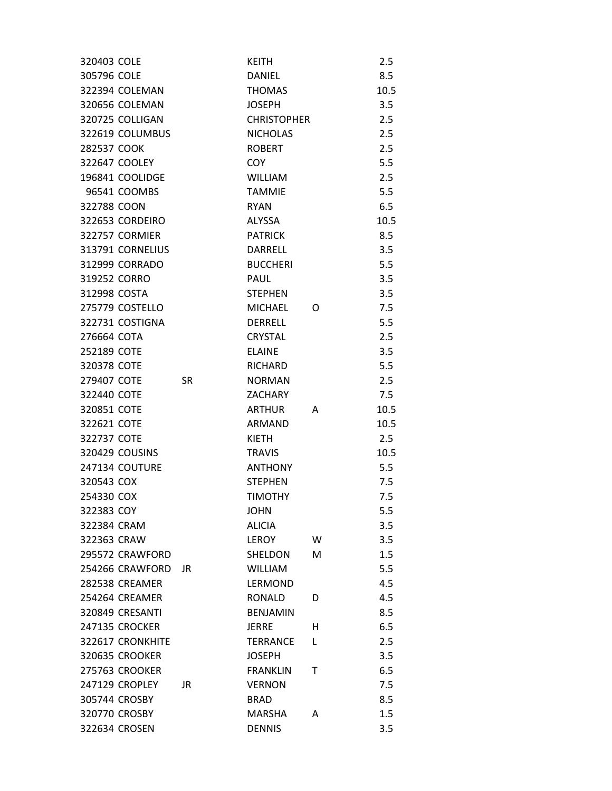| 320403 COLE           |           | <b>KEITH</b>       |   | 2.5  |
|-----------------------|-----------|--------------------|---|------|
| 305796 COLE           |           | <b>DANIEL</b>      |   | 8.5  |
| 322394 COLEMAN        |           | <b>THOMAS</b>      |   | 10.5 |
| 320656 COLEMAN        |           | <b>JOSEPH</b>      |   | 3.5  |
| 320725 COLLIGAN       |           | <b>CHRISTOPHER</b> |   | 2.5  |
| 322619 COLUMBUS       |           | <b>NICHOLAS</b>    |   | 2.5  |
| 282537 COOK           |           | <b>ROBERT</b>      |   | 2.5  |
| 322647 COOLEY         |           | COY.               |   | 5.5  |
| 196841 COOLIDGE       |           | <b>WILLIAM</b>     |   | 2.5  |
| 96541 COOMBS          |           | <b>TAMMIE</b>      |   | 5.5  |
| 322788 COON           |           | <b>RYAN</b>        |   | 6.5  |
| 322653 CORDEIRO       |           | ALYSSA             |   | 10.5 |
| <b>322757 CORMIER</b> |           | <b>PATRICK</b>     |   | 8.5  |
| 313791 CORNELIUS      |           | DARRELL            |   | 3.5  |
| 312999 CORRADO        |           | <b>BUCCHERI</b>    |   | 5.5  |
| 319252 CORRO          |           | PAUL               |   | 3.5  |
| 312998 COSTA          |           | <b>STEPHEN</b>     |   | 3.5  |
| 275779 COSTELLO       |           | <b>MICHAEL</b>     | 0 | 7.5  |
| 322731 COSTIGNA       |           | <b>DERRELL</b>     |   | 5.5  |
| 276664 COTA           |           | <b>CRYSTAL</b>     |   | 2.5  |
| 252189 COTE           |           | <b>ELAINE</b>      |   | 3.5  |
| 320378 COTE           |           | RICHARD            |   | 5.5  |
| 279407 COTE           | <b>SR</b> | <b>NORMAN</b>      |   | 2.5  |
| 322440 COTE           |           | <b>ZACHARY</b>     |   | 7.5  |
| 320851 COTE           |           | <b>ARTHUR</b>      | A | 10.5 |
| 322621 COTE           |           | ARMAND             |   | 10.5 |
| 322737 COTE           |           | KIETH              |   | 2.5  |
| 320429 COUSINS        |           | <b>TRAVIS</b>      |   | 10.5 |
| 247134 COUTURE        |           | <b>ANTHONY</b>     |   | 5.5  |
| 320543 COX            |           | <b>STEPHEN</b>     |   | 7.5  |
| 254330 COX            |           | <b>TIMOTHY</b>     |   | 7.5  |
| 322383 COY            |           | <b>JOHN</b>        |   | 5.5  |
| 322384 CRAM           |           | <b>ALICIA</b>      |   | 3.5  |
| 322363 CRAW           |           | LEROY              | W | 3.5  |
| 295572 CRAWFORD       |           | SHELDON            | M | 1.5  |
| 254266 CRAWFORD       | JR        | <b>WILLIAM</b>     |   | 5.5  |
| <b>282538 CREAMER</b> |           | LERMOND            |   | 4.5  |
| 254264 CREAMER        |           | <b>RONALD</b>      | D | 4.5  |
| 320849 CRESANTI       |           | <b>BENJAMIN</b>    |   | 8.5  |
| <b>247135 CROCKER</b> |           | <b>JERRE</b>       | н | 6.5  |
| 322617 CRONKHITE      |           | <b>TERRANCE</b>    | L | 2.5  |
| <b>320635 CROOKER</b> |           | <b>JOSEPH</b>      |   | 3.5  |
| 275763 CROOKER        |           | <b>FRANKLIN</b>    | т | 6.5  |
| 247129 CROPLEY        | JR        | <b>VERNON</b>      |   | 7.5  |
| 305744 CROSBY         |           | <b>BRAD</b>        |   | 8.5  |
| 320770 CROSBY         |           | <b>MARSHA</b>      | A | 1.5  |
| 322634 CROSEN         |           | <b>DENNIS</b>      |   | 3.5  |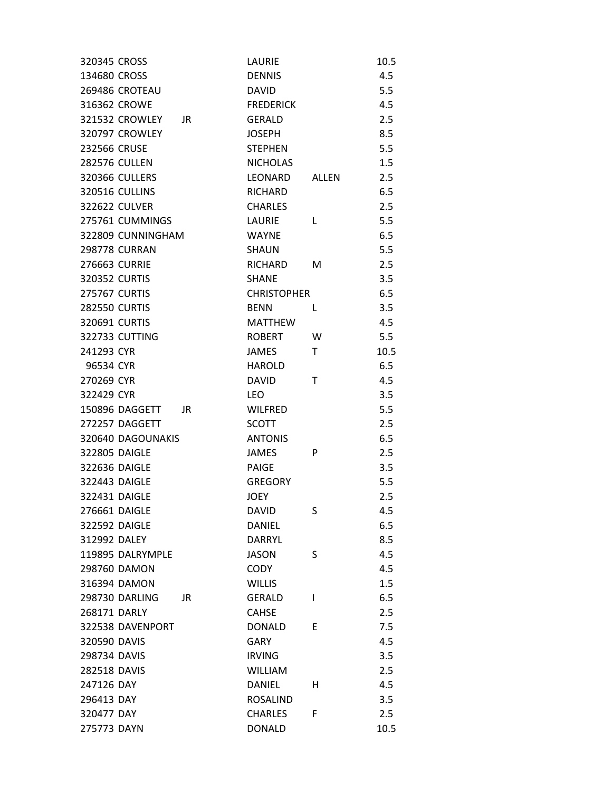| 320345 CROSS                | LAURIE              | 10.5 |
|-----------------------------|---------------------|------|
| 134680 CROSS                | <b>DENNIS</b>       | 4.5  |
| 269486 CROTEAU              | <b>DAVID</b>        | 5.5  |
| 316362 CROWE                | <b>FREDERICK</b>    | 4.5  |
| <b>321532 CROWLEY</b><br>JR | <b>GERALD</b>       | 2.5  |
| <b>320797 CROWLEY</b>       | <b>JOSEPH</b>       | 8.5  |
| 232566 CRUSE                | <b>STEPHEN</b>      | 5.5  |
| <b>282576 CULLEN</b>        | <b>NICHOLAS</b>     | 1.5  |
| 320366 CULLERS              | LEONARD<br>ALLEN    | 2.5  |
| <b>320516 CULLINS</b>       | RICHARD             | 6.5  |
| <b>322622 CULVER</b>        | <b>CHARLES</b>      | 2.5  |
| 275761 CUMMINGS             | LAURIE<br>L         | 5.5  |
| 322809 CUNNINGHAM           | <b>WAYNE</b>        | 6.5  |
| <b>298778 CURRAN</b>        | <b>SHAUN</b>        | 5.5  |
| 276663 CURRIE               | <b>RICHARD</b><br>м | 2.5  |
| 320352 CURTIS               | <b>SHANE</b>        | 3.5  |
| <b>275767 CURTIS</b>        | <b>CHRISTOPHER</b>  | 6.5  |
| <b>282550 CURTIS</b>        | <b>BENN</b><br>L    | 3.5  |
| 320691 CURTIS               | <b>MATTHEW</b>      | 4.5  |
| 322733 CUTTING              | <b>ROBERT</b><br>W  | 5.5  |
| 241293 CYR                  | <b>JAMES</b><br>Τ   | 10.5 |
| 96534 CYR                   | <b>HAROLD</b>       | 6.5  |
| 270269 CYR                  | <b>DAVID</b><br>Т   | 4.5  |
| 322429 CYR                  | <b>LEO</b>          | 3.5  |
| 150896 DAGGETT<br>JR        | <b>WILFRED</b>      | 5.5  |
| 272257 DAGGETT              | <b>SCOTT</b>        | 2.5  |
| 320640 DAGOUNAKIS           | <b>ANTONIS</b>      | 6.5  |
| 322805 DAIGLE               | <b>JAMES</b><br>P   | 2.5  |
| 322636 DAIGLE               | PAIGE               | 3.5  |
| 322443 DAIGLE               | <b>GREGORY</b>      | 5.5  |
| 322431 DAIGLE               | <b>JOEY</b>         | 2.5  |
| 276661 DAIGLE               | DAVID<br>S          | 4.5  |
| 322592 DAIGLE               | <b>DANIEL</b>       | 6.5  |
| 312992 DALEY                | DARRYL              | 8.5  |
| 119895 DALRYMPLE            | S<br><b>JASON</b>   | 4.5  |
| 298760 DAMON                | <b>CODY</b>         | 4.5  |
| 316394 DAMON                | WILLIS              | 1.5  |
| <b>298730 DARLING</b><br>JR | <b>GERALD</b><br>L  | 6.5  |
| 268171 DARLY                | <b>CAHSE</b>        | 2.5  |
| 322538 DAVENPORT            | <b>DONALD</b><br>E  | 7.5  |
| 320590 DAVIS                | <b>GARY</b>         | 4.5  |
| 298734 DAVIS                | <b>IRVING</b>       | 3.5  |
| 282518 DAVIS                | <b>WILLIAM</b>      | 2.5  |
| 247126 DAY                  | <b>DANIEL</b><br>н  | 4.5  |
| 296413 DAY                  | <b>ROSALIND</b>     | 3.5  |
| 320477 DAY                  | <b>CHARLES</b><br>F | 2.5  |
| 275773 DAYN                 | <b>DONALD</b>       | 10.5 |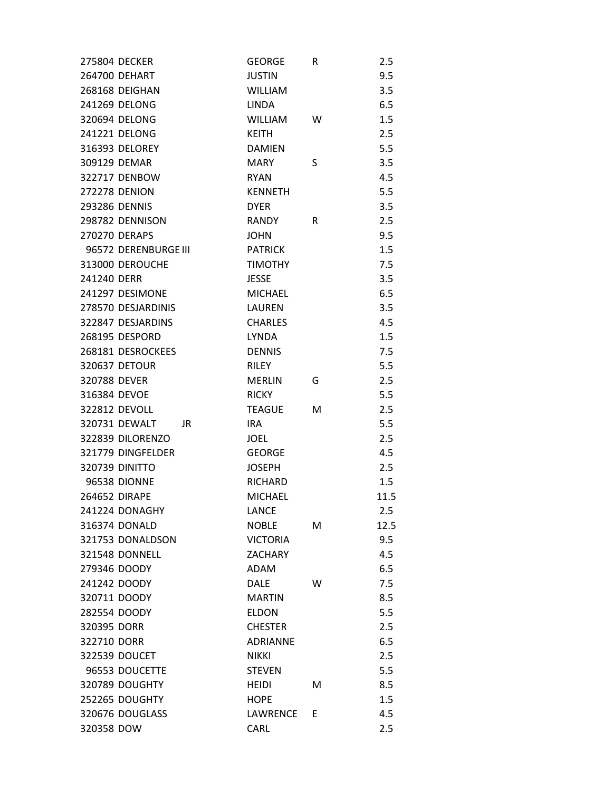| 275804 DECKER         | <b>GEORGE</b>   | R | 2.5  |
|-----------------------|-----------------|---|------|
| 264700 DEHART         | <b>JUSTIN</b>   |   | 9.5  |
| 268168 DEIGHAN        | <b>WILLIAM</b>  |   | 3.5  |
| 241269 DELONG         | <b>LINDA</b>    |   | 6.5  |
| 320694 DELONG         | <b>WILLIAM</b>  | W | 1.5  |
| 241221 DELONG         | <b>KEITH</b>    |   | 2.5  |
| 316393 DELOREY        | <b>DAMIEN</b>   |   | 5.5  |
| 309129 DEMAR          | <b>MARY</b>     | S | 3.5  |
| 322717 DENBOW         | <b>RYAN</b>     |   | 4.5  |
| <b>272278 DENION</b>  | <b>KENNETH</b>  |   | 5.5  |
| 293286 DENNIS         | <b>DYER</b>     |   | 3.5  |
| 298782 DENNISON       | RANDY           | R | 2.5  |
| 270270 DERAPS         | <b>JOHN</b>     |   | 9.5  |
| 96572 DERENBURGE III  | <b>PATRICK</b>  |   | 1.5  |
| 313000 DEROUCHE       | <b>TIMOTHY</b>  |   | 7.5  |
| 241240 DERR           | <b>JESSE</b>    |   | 3.5  |
| 241297 DESIMONE       | <b>MICHAEL</b>  |   | 6.5  |
| 278570 DESJARDINIS    | LAUREN          |   | 3.5  |
| 322847 DESJARDINS     | <b>CHARLES</b>  |   | 4.5  |
| 268195 DESPORD        | <b>LYNDA</b>    |   | 1.5  |
| 268181 DESROCKEES     | <b>DENNIS</b>   |   | 7.5  |
| 320637 DETOUR         | <b>RILEY</b>    |   | 5.5  |
| 320788 DEVER          | <b>MERLIN</b>   | G | 2.5  |
| 316384 DEVOE          | <b>RICKY</b>    |   | 5.5  |
| 322812 DEVOLL         | <b>TEAGUE</b>   | м | 2.5  |
| 320731 DEWALT<br>JR   | IRA             |   | 5.5  |
| 322839 DILORENZO      | JOEL            |   | 2.5  |
| 321779 DINGFELDER     | <b>GEORGE</b>   |   | 4.5  |
| <b>320739 DINITTO</b> | <b>JOSEPH</b>   |   | 2.5  |
| <b>96538 DIONNE</b>   | <b>RICHARD</b>  |   | 1.5  |
| 264652 DIRAPE         | <b>MICHAEL</b>  |   | 11.5 |
| 241224 DONAGHY        | LANCE           |   | 2.5  |
| 316374 DONALD         | <b>NOBLE</b>    | М | 12.5 |
| 321753 DONALDSON      | <b>VICTORIA</b> |   | 9.5  |
| <b>321548 DONNELL</b> | <b>ZACHARY</b>  |   | 4.5  |
| 279346 DOODY          | <b>ADAM</b>     |   | 6.5  |
| 241242 DOODY          | <b>DALE</b>     | W | 7.5  |
| 320711 DOODY          | <b>MARTIN</b>   |   | 8.5  |
| 282554 DOODY          | <b>ELDON</b>    |   | 5.5  |
| 320395 DORR           | <b>CHESTER</b>  |   | 2.5  |
| 322710 DORR           | <b>ADRIANNE</b> |   | 6.5  |
| 322539 DOUCET         | <b>NIKKI</b>    |   | 2.5  |
| 96553 DOUCETTE        | <b>STEVEN</b>   |   | 5.5  |
| 320789 DOUGHTY        | <b>HEIDI</b>    | M | 8.5  |
| 252265 DOUGHTY        | <b>HOPE</b>     |   | 1.5  |
| 320676 DOUGLASS       | LAWRENCE        | E | 4.5  |
| 320358 DOW            | CARL            |   | 2.5  |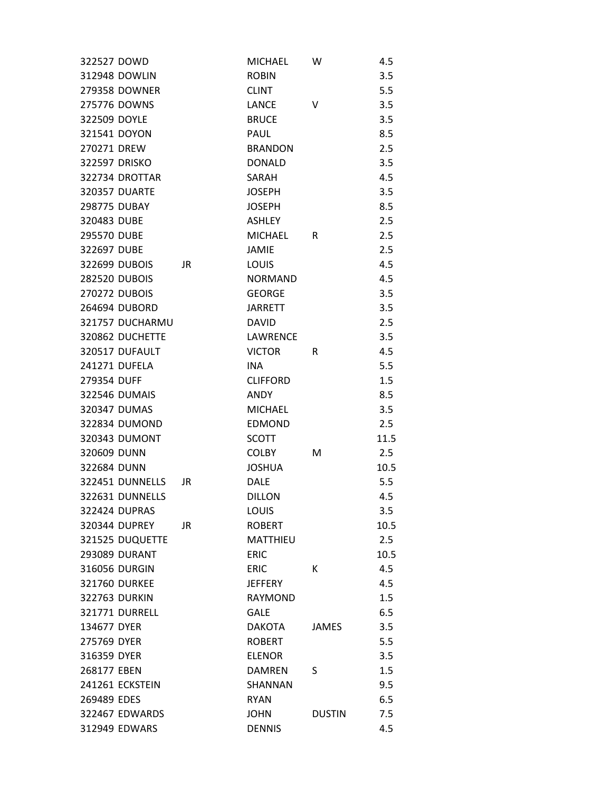| 322527 DOWD           |     | <b>MICHAEL</b>  | w             | 4.5  |
|-----------------------|-----|-----------------|---------------|------|
| 312948 DOWLIN         |     | <b>ROBIN</b>    |               | 3.5  |
| 279358 DOWNER         |     | <b>CLINT</b>    |               | 5.5  |
| 275776 DOWNS          |     | <b>LANCE</b>    | v             | 3.5  |
| 322509 DOYLE          |     | <b>BRUCE</b>    |               | 3.5  |
| 321541 DOYON          |     | PAUL            |               | 8.5  |
| 270271 DREW           |     | <b>BRANDON</b>  |               | 2.5  |
| 322597 DRISKO         |     | <b>DONALD</b>   |               | 3.5  |
| 322734 DROTTAR        |     | SARAH           |               | 4.5  |
| 320357 DUARTE         |     | <b>JOSEPH</b>   |               | 3.5  |
| 298775 DUBAY          |     | <b>JOSEPH</b>   |               | 8.5  |
| 320483 DUBE           |     | ASHLEY          |               | 2.5  |
| 295570 DUBE           |     | <b>MICHAEL</b>  | R             | 2.5  |
| 322697 DUBE           |     | <b>JAMIE</b>    |               | 2.5  |
| 322699 DUBOIS         | JR. | LOUIS           |               | 4.5  |
| <b>282520 DUBOIS</b>  |     | <b>NORMAND</b>  |               | 4.5  |
| 270272 DUBOIS         |     | <b>GEORGE</b>   |               | 3.5  |
| 264694 DUBORD         |     | <b>JARRETT</b>  |               | 3.5  |
| 321757 DUCHARMU       |     | <b>DAVID</b>    |               | 2.5  |
| 320862 DUCHETTE       |     | LAWRENCE        |               | 3.5  |
| 320517 DUFAULT        |     | <b>VICTOR</b>   | R             | 4.5  |
| 241271 DUFELA         |     | <b>INA</b>      |               | 5.5  |
| 279354 DUFF           |     | <b>CLIFFORD</b> |               | 1.5  |
| 322546 DUMAIS         |     | <b>ANDY</b>     |               | 8.5  |
| 320347 DUMAS          |     | <b>MICHAEL</b>  |               | 3.5  |
| 322834 DUMOND         |     | <b>EDMOND</b>   |               | 2.5  |
| 320343 DUMONT         |     | <b>SCOTT</b>    |               | 11.5 |
| 320609 DUNN           |     | <b>COLBY</b>    | м             | 2.5  |
| 322684 DUNN           |     | <b>JOSHUA</b>   |               | 10.5 |
| 322451 DUNNELLS       | JR  | <b>DALE</b>     |               | 5.5  |
| 322631 DUNNELLS       |     | <b>DILLON</b>   |               | 4.5  |
| 322424 DUPRAS         |     | LOUIS           |               | 3.5  |
| 320344 DUPREY         | JR  | <b>ROBERT</b>   |               | 10.5 |
| 321525 DUQUETTE       |     | MATTHIEU        |               | 2.5  |
| 293089 DURANT         |     | <b>ERIC</b>     |               | 10.5 |
| 316056 DURGIN         |     | <b>ERIC</b>     | К             | 4.5  |
| 321760 DURKEE         |     | <b>JEFFERY</b>  |               | 4.5  |
| <b>322763 DURKIN</b>  |     | <b>RAYMOND</b>  |               | 1.5  |
| <b>321771 DURRELL</b> |     | <b>GALE</b>     |               | 6.5  |
| 134677 DYER           |     | <b>DAKOTA</b>   | JAMES         | 3.5  |
| 275769 DYER           |     | <b>ROBERT</b>   |               | 5.5  |
| 316359 DYER           |     | <b>ELENOR</b>   |               | 3.5  |
| 268177 EBEN           |     | <b>DAMREN</b>   | S             | 1.5  |
| 241261 ECKSTEIN       |     | SHANNAN         |               | 9.5  |
| 269489 EDES           |     | <b>RYAN</b>     |               | 6.5  |
| 322467 EDWARDS        |     | <b>JOHN</b>     | <b>DUSTIN</b> | 7.5  |
| 312949 EDWARS         |     | <b>DENNIS</b>   |               | 4.5  |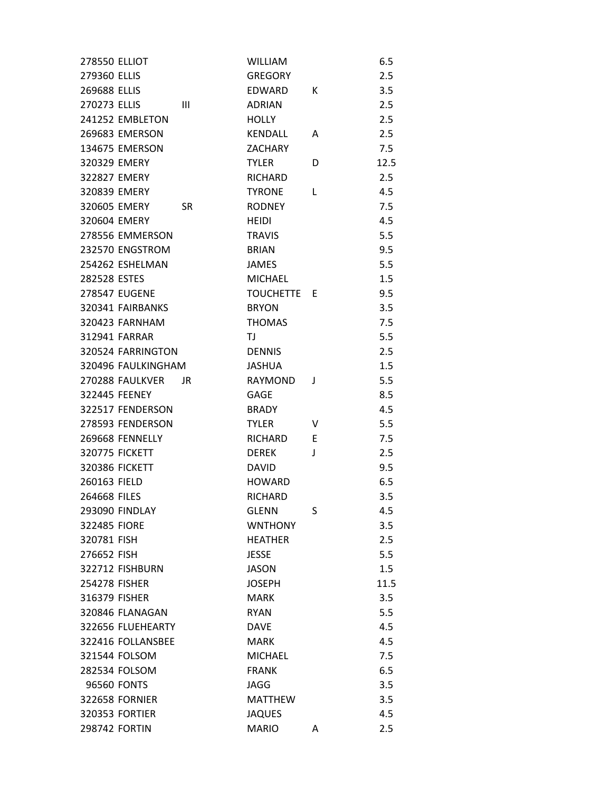| <b>278550 ELLIOT</b> |                       |           | <b>WILLIAM</b> |   | 6.5  |
|----------------------|-----------------------|-----------|----------------|---|------|
| 279360 ELLIS         |                       |           | <b>GREGORY</b> |   | 2.5  |
| 269688 ELLIS         |                       |           | EDWARD         | К | 3.5  |
| 270273 ELLIS         |                       | Ш         | <b>ADRIAN</b>  |   | 2.5  |
|                      | 241252 EMBLETON       |           | <b>HOLLY</b>   |   | 2.5  |
|                      | 269683 EMERSON        |           | <b>KENDALL</b> | A | 2.5  |
|                      | 134675 EMERSON        |           | <b>ZACHARY</b> |   | 7.5  |
| 320329 EMERY         |                       |           | <b>TYLER</b>   | D | 12.5 |
| 322827 EMERY         |                       |           | <b>RICHARD</b> |   | 2.5  |
| 320839 EMERY         |                       |           | <b>TYRONE</b>  | L | 4.5  |
| 320605 EMERY         |                       | <b>SR</b> | <b>RODNEY</b>  |   | 7.5  |
| 320604 EMERY         |                       |           | <b>HEIDI</b>   |   | 4.5  |
|                      | 278556 EMMERSON       |           | <b>TRAVIS</b>  |   | 5.5  |
|                      | 232570 ENGSTROM       |           | <b>BRIAN</b>   |   | 9.5  |
|                      | 254262 ESHELMAN       |           | <b>JAMES</b>   |   | 5.5  |
| 282528 ESTES         |                       |           | <b>MICHAEL</b> |   | 1.5  |
|                      | <b>278547 EUGENE</b>  |           | TOUCHETTE E    |   | 9.5  |
|                      | 320341 FAIRBANKS      |           | <b>BRYON</b>   |   | 3.5  |
|                      | 320423 FARNHAM        |           | <b>THOMAS</b>  |   | 7.5  |
|                      | 312941 FARRAR         |           | TJ.            |   | 5.5  |
|                      | 320524 FARRINGTON     |           | <b>DENNIS</b>  |   | 2.5  |
|                      | 320496 FAULKINGHAM    |           | <b>JASHUA</b>  |   | 1.5  |
|                      | 270288 FAULKVER       | JR        | <b>RAYMOND</b> | J | 5.5  |
|                      | 322445 FEENEY         |           | <b>GAGE</b>    |   | 8.5  |
|                      | 322517 FENDERSON      |           | <b>BRADY</b>   |   | 4.5  |
|                      | 278593 FENDERSON      |           | TYLER          | V | 5.5  |
|                      | 269668 FENNELLY       |           | <b>RICHARD</b> | E | 7.5  |
|                      | <b>320775 FICKETT</b> |           | <b>DEREK</b>   | J | 2.5  |
|                      | <b>320386 FICKETT</b> |           | <b>DAVID</b>   |   | 9.5  |
| 260163 FIELD         |                       |           | <b>HOWARD</b>  |   | 6.5  |
| 264668 FILES         |                       |           | <b>RICHARD</b> |   | 3.5  |
|                      | <b>293090 FINDLAY</b> |           | <b>GLENN</b>   | S | 4.5  |
| 322485 FIORE         |                       |           | <b>WNTHONY</b> |   | 3.5  |
| 320781 FISH          |                       |           | <b>HEATHER</b> |   | 2.5  |
| 276652 FISH          |                       |           | <b>JESSE</b>   |   | 5.5  |
|                      | 322712 FISHBURN       |           | <b>JASON</b>   |   | 1.5  |
| 254278 FISHER        |                       |           | <b>JOSEPH</b>  |   | 11.5 |
| 316379 FISHER        |                       |           | <b>MARK</b>    |   | 3.5  |
|                      | 320846 FLANAGAN       |           | <b>RYAN</b>    |   | 5.5  |
|                      | 322656 FLUEHEARTY     |           | <b>DAVF</b>    |   | 4.5  |
|                      | 322416 FOLLANSBEE     |           | <b>MARK</b>    |   | 4.5  |
|                      | 321544 FOLSOM         |           | <b>MICHAEL</b> |   | 7.5  |
|                      | 282534 FOLSOM         |           | <b>FRANK</b>   |   | 6.5  |
|                      | 96560 FONTS           |           | <b>JAGG</b>    |   | 3.5  |
|                      | <b>322658 FORNIER</b> |           | <b>MATTHEW</b> |   | 3.5  |
|                      | <b>320353 FORTIER</b> |           | <b>JAQUES</b>  |   | 4.5  |
|                      | 298742 FORTIN         |           | <b>MARIO</b>   | A | 2.5  |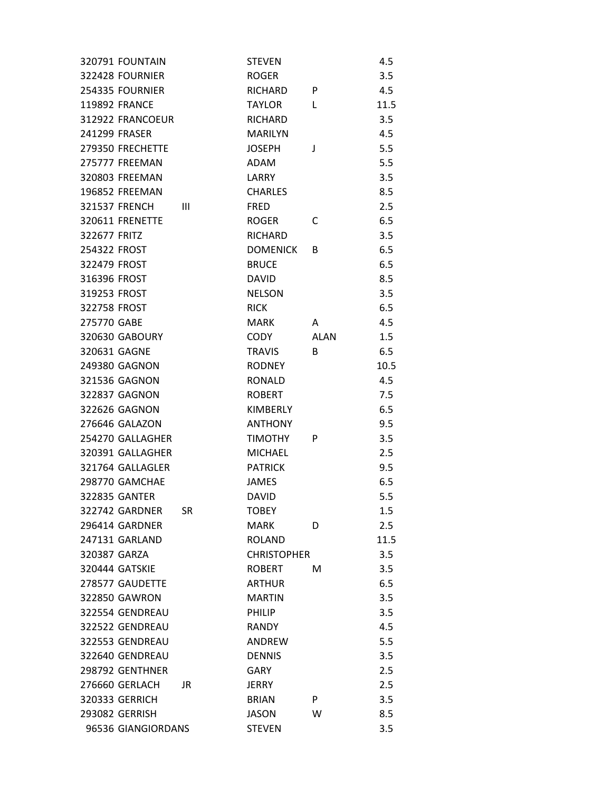| 320791 FOUNTAIN       |     | STEVEN             |             | 4.5  |
|-----------------------|-----|--------------------|-------------|------|
| 322428 FOURNIER       |     | <b>ROGER</b>       |             | 3.5  |
| 254335 FOURNIER       |     | <b>RICHARD</b>     | P           | 4.5  |
| <b>119892 FRANCE</b>  |     | <b>TAYLOR</b>      | L           | 11.5 |
| 312922 FRANCOEUR      |     | <b>RICHARD</b>     |             | 3.5  |
| 241299 FRASER         |     | <b>MARILYN</b>     |             | 4.5  |
| 279350 FRECHETTE      |     | <b>JOSEPH</b>      | J           | 5.5  |
| 275777 FREEMAN        |     | ADAM               |             | 5.5  |
| 320803 FREEMAN        |     | LARRY              |             | 3.5  |
| 196852 FREEMAN        |     | <b>CHARLES</b>     |             | 8.5  |
| 321537 FRENCH         | Ш   | <b>FRED</b>        |             | 2.5  |
| 320611 FRENETTE       |     | <b>ROGER</b>       | C           | 6.5  |
| 322677 FRITZ          |     | RICHARD            |             | 3.5  |
| 254322 FROST          |     | <b>DOMENICK</b>    | B           | 6.5  |
| 322479 FROST          |     | <b>BRUCE</b>       |             | 6.5  |
| 316396 FROST          |     | <b>DAVID</b>       |             | 8.5  |
| 319253 FROST          |     | <b>NELSON</b>      |             | 3.5  |
| 322758 FROST          |     | <b>RICK</b>        |             | 6.5  |
| 275770 GABE           |     | MARK               | A           | 4.5  |
| 320630 GABOURY        |     | CODY               | <b>ALAN</b> | 1.5  |
| 320631 GAGNE          |     | <b>TRAVIS</b>      | B           | 6.5  |
| 249380 GAGNON         |     | <b>RODNEY</b>      |             | 10.5 |
| 321536 GAGNON         |     | <b>RONALD</b>      |             | 4.5  |
| 322837 GAGNON         |     | <b>ROBERT</b>      |             | 7.5  |
| 322626 GAGNON         |     | <b>KIMBERLY</b>    |             | 6.5  |
| 276646 GALAZON        |     | <b>ANTHONY</b>     |             | 9.5  |
| 254270 GALLAGHER      |     | <b>TIMOTHY</b>     | P           | 3.5  |
| 320391 GALLAGHER      |     | <b>MICHAEL</b>     |             | 2.5  |
| 321764 GALLAGLER      |     | <b>PATRICK</b>     |             | 9.5  |
| 298770 GAMCHAE        |     | <b>JAMES</b>       |             | 6.5  |
| 322835 GANTER         |     | <b>DAVID</b>       |             | 5.5  |
| 322742 GARDNER        | SR  | <b>TOBEY</b>       |             | 1.5  |
| 296414 GARDNER        |     | MARK               | D           | 2.5  |
| 247131 GARLAND        |     | <b>ROLAND</b>      |             | 11.5 |
| 320387 GARZA          |     | <b>CHRISTOPHER</b> |             | 3.5  |
| <b>320444 GATSKIE</b> |     | <b>ROBERT</b>      | м           | 3.5  |
| 278577 GAUDETTE       |     | <b>ARTHUR</b>      |             | 6.5  |
| <b>322850 GAWRON</b>  |     | <b>MARTIN</b>      |             | 3.5  |
| 322554 GENDREAU       |     | PHILIP             |             | 3.5  |
| 322522 GENDREAU       |     | <b>RANDY</b>       |             | 4.5  |
| 322553 GENDREAU       |     | ANDREW             |             | 5.5  |
| 322640 GENDREAU       |     | <b>DENNIS</b>      |             | 3.5  |
| 298792 GENTHNER       |     | <b>GARY</b>        |             | 2.5  |
| 276660 GERLACH        | JR. | <b>JERRY</b>       |             | 2.5  |
| <b>320333 GERRICH</b> |     | <b>BRIAN</b>       | P           | 3.5  |
| <b>293082 GERRISH</b> |     | <b>JASON</b>       | W           | 8.5  |
| 96536 GIANGIORDANS    |     | <b>STEVEN</b>      |             | 3.5  |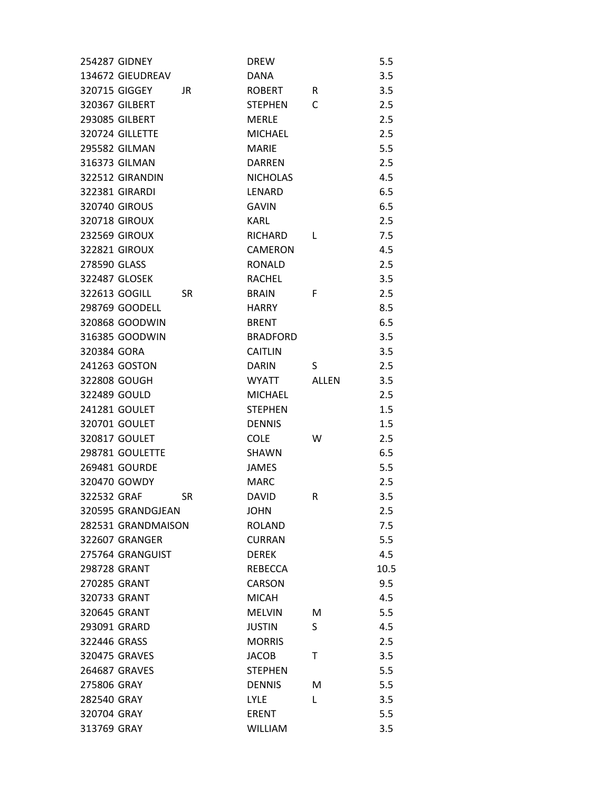| <b>254287 GIDNEY</b>       | <b>DREW</b>     |              | 5.5  |
|----------------------------|-----------------|--------------|------|
| 134672 GIEUDREAV           | <b>DANA</b>     |              | 3.5  |
| 320715 GIGGEY<br>JR.       | <b>ROBERT</b>   | R            | 3.5  |
| 320367 GILBERT             | <b>STEPHEN</b>  | C            | 2.5  |
| <b>293085 GILBERT</b>      | <b>MERLE</b>    |              | 2.5  |
| 320724 GILLETTE            | <b>MICHAEL</b>  |              | 2.5  |
| 295582 GILMAN              | <b>MARIE</b>    |              | 5.5  |
| 316373 GILMAN              | <b>DARREN</b>   |              | 2.5  |
| 322512 GIRANDIN            | <b>NICHOLAS</b> |              | 4.5  |
| 322381 GIRARDI             | LENARD          |              | 6.5  |
| <b>320740 GIROUS</b>       | <b>GAVIN</b>    |              | 6.5  |
| <b>320718 GIROUX</b>       | <b>KARL</b>     |              | 2.5  |
| <b>232569 GIROUX</b>       | RICHARD         | L            | 7.5  |
| 322821 GIROUX              | <b>CAMERON</b>  |              | 4.5  |
| 278590 GLASS               | <b>RONALD</b>   |              | 2.5  |
| 322487 GLOSEK              | <b>RACHEL</b>   |              | 3.5  |
| 322613 GOGILL<br><b>SR</b> | <b>BRAIN</b>    | F            | 2.5  |
| 298769 GOODELL             | <b>HARRY</b>    |              | 8.5  |
| 320868 GOODWIN             | <b>BRENT</b>    |              | 6.5  |
| 316385 GOODWIN             | <b>BRADFORD</b> |              | 3.5  |
| 320384 GORA                | <b>CAITLIN</b>  |              | 3.5  |
| 241263 GOSTON              | <b>DARIN</b>    | S            | 2.5  |
| 322808 GOUGH               | WYATT           | <b>ALLEN</b> | 3.5  |
| 322489 GOULD               | <b>MICHAEL</b>  |              | 2.5  |
| 241281 GOULET              | <b>STEPHEN</b>  |              | 1.5  |
| 320701 GOULET              | <b>DENNIS</b>   |              | 1.5  |
| 320817 GOULET              | <b>COLE</b>     | W            | 2.5  |
| 298781 GOULETTE            | <b>SHAWN</b>    |              | 6.5  |
| 269481 GOURDE              | JAMES           |              | 5.5  |
| 320470 GOWDY               | <b>MARC</b>     |              | 2.5  |
| 322532 GRAF<br><b>SR</b>   | <b>DAVID</b>    | R            | 3.5  |
| 320595 GRANDGJEAN          | <b>JOHN</b>     |              | 2.5  |
| 282531 GRANDMAISON         | <b>ROLAND</b>   |              | 7.5  |
| 322607 GRANGER             | <b>CURRAN</b>   |              | 5.5  |
| 275764 GRANGUIST           | <b>DEREK</b>    |              | 4.5  |
| 298728 GRANT               | REBECCA         |              | 10.5 |
| 270285 GRANT               | <b>CARSON</b>   |              | 9.5  |
| 320733 GRANT               | <b>MICAH</b>    |              | 4.5  |
| 320645 GRANT               | <b>MELVIN</b>   | М            | 5.5  |
| 293091 GRARD               | <b>JUSTIN</b>   | S            | 4.5  |
| 322446 GRASS               | <b>MORRIS</b>   |              | 2.5  |
| 320475 GRAVES              | <b>JACOB</b>    | т            | 3.5  |
| 264687 GRAVES              | <b>STEPHEN</b>  |              | 5.5  |
| 275806 GRAY                | <b>DENNIS</b>   | М            | 5.5  |
| 282540 GRAY                | <b>LYLE</b>     | L            | 3.5  |
| 320704 GRAY                | <b>ERENT</b>    |              | 5.5  |
| 313769 GRAY                | <b>WILLIAM</b>  |              | 3.5  |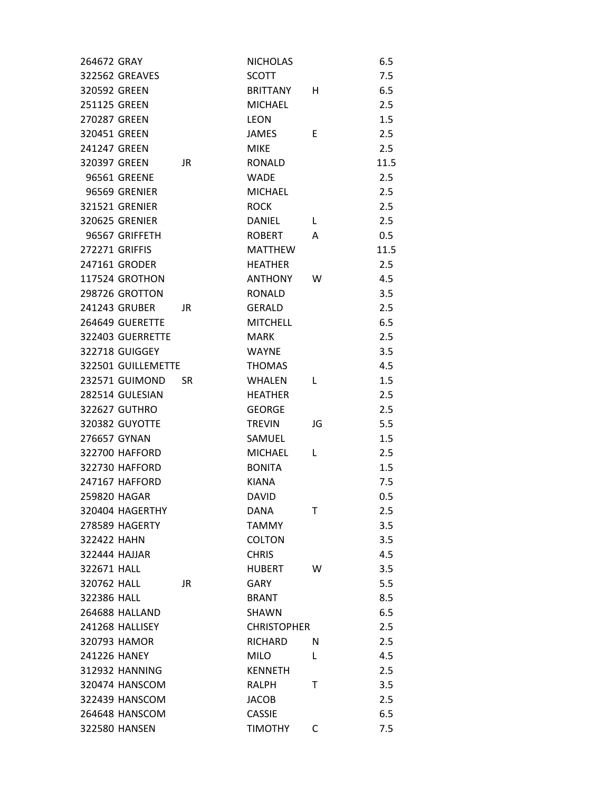| 264672 GRAY           |     | <b>NICHOLAS</b>    |    | 6.5  |
|-----------------------|-----|--------------------|----|------|
| <b>322562 GREAVES</b> |     | <b>SCOTT</b>       |    | 7.5  |
| 320592 GREEN          |     | <b>BRITTANY</b>    | н  | 6.5  |
| 251125 GREEN          |     | <b>MICHAEL</b>     |    | 2.5  |
| 270287 GREEN          |     | <b>LEON</b>        |    | 1.5  |
| 320451 GREEN          |     | JAMES              | E. | 2.5  |
| 241247 GREEN          |     | <b>MIKE</b>        |    | 2.5  |
| 320397 GREEN          | JR. | <b>RONALD</b>      |    | 11.5 |
| 96561 GREENE          |     | <b>WADE</b>        |    | 2.5  |
| 96569 GRENIER         |     | <b>MICHAEL</b>     |    | 2.5  |
| <b>321521 GRENIER</b> |     | <b>ROCK</b>        |    | 2.5  |
| 320625 GRENIER        |     | DANIEL             | L  | 2.5  |
| 96567 GRIFFETH        |     | ROBERT             | A  | 0.5  |
| 272271 GRIFFIS        |     | <b>MATTHEW</b>     |    | 11.5 |
| 247161 GRODER         |     | <b>HEATHER</b>     |    | 2.5  |
| 117524 GROTHON        |     | ANTHONY            | w  | 4.5  |
| 298726 GROTTON        |     | <b>RONALD</b>      |    | 3.5  |
| 241243 GRUBER         | JR. | <b>GERALD</b>      |    | 2.5  |
| 264649 GUERETTE       |     | <b>MITCHELL</b>    |    | 6.5  |
| 322403 GUERRETTE      |     | <b>MARK</b>        |    | 2.5  |
| <b>322718 GUIGGEY</b> |     | <b>WAYNE</b>       |    | 3.5  |
| 322501 GUILLEMETTE    |     | <b>THOMAS</b>      |    | 4.5  |
| 232571 GUIMOND        | SR. | <b>WHALEN</b>      | L  | 1.5  |
| 282514 GULESIAN       |     | <b>HEATHER</b>     |    | 2.5  |
| 322627 GUTHRO         |     | <b>GEORGE</b>      |    | 2.5  |
| 320382 GUYOTTE        |     | <b>TREVIN</b>      | JG | 5.5  |
| 276657 GYNAN          |     | SAMUEL             |    | 1.5  |
| 322700 HAFFORD        |     | <b>MICHAEL</b>     | L  | 2.5  |
| 322730 HAFFORD        |     | <b>BONITA</b>      |    | 1.5  |
| 247167 HAFFORD        |     | <b>KIANA</b>       |    | 7.5  |
| 259820 HAGAR          |     | <b>DAVID</b>       |    | 0.5  |
| 320404 HAGERTHY       |     | DANA               | т  | 2.5  |
| <b>278589 HAGERTY</b> |     | <b>TAMMY</b>       |    | 3.5  |
| 322422 HAHN           |     | <b>COLTON</b>      |    | 3.5  |
| 322444 HAJJAR         |     | <b>CHRIS</b>       |    | 4.5  |
| 322671 HALL           |     | <b>HUBERT</b>      | W  | 3.5  |
| 320762 HALL           | JR  | <b>GARY</b>        |    | 5.5  |
| 322386 HALL           |     | <b>BRANT</b>       |    | 8.5  |
| 264688 HALLAND        |     | <b>SHAWN</b>       |    | 6.5  |
| 241268 HALLISEY       |     | <b>CHRISTOPHER</b> |    | 2.5  |
| 320793 HAMOR          |     | RICHARD            | N  | 2.5  |
| 241226 HANEY          |     | <b>MILO</b>        | L  | 4.5  |
| 312932 HANNING        |     | <b>KENNETH</b>     |    | 2.5  |
| 320474 HANSCOM        |     | RALPH              | т  | 3.5  |
| 322439 HANSCOM        |     | <b>JACOB</b>       |    | 2.5  |
| 264648 HANSCOM        |     | <b>CASSIE</b>      |    | 6.5  |
| 322580 HANSEN         |     | <b>TIMOTHY</b>     | C  | 7.5  |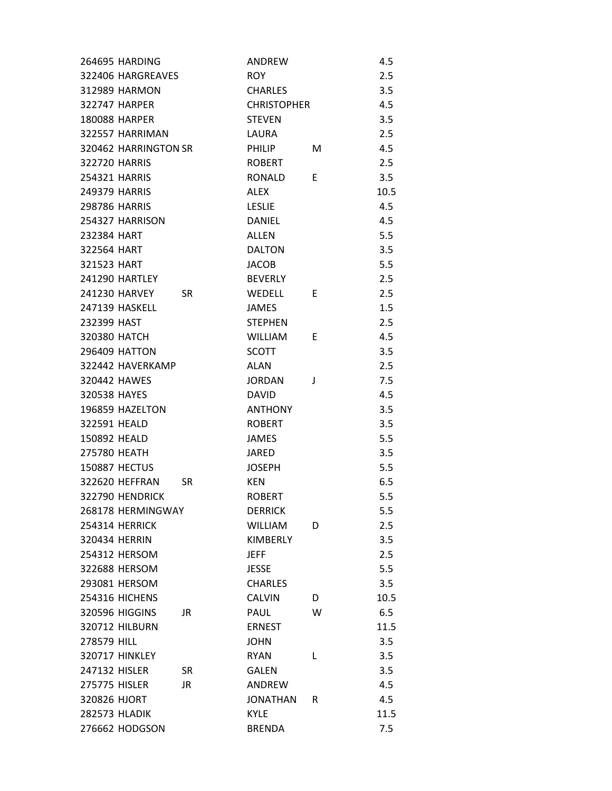| 264695 HARDING        |           | <b>ANDREW</b>      |   | 4.5  |
|-----------------------|-----------|--------------------|---|------|
| 322406 HARGREAVES     |           | <b>ROY</b>         |   | 2.5  |
| 312989 HARMON         |           | <b>CHARLES</b>     |   | 3.5  |
| 322747 HARPER         |           | <b>CHRISTOPHER</b> |   | 4.5  |
| <b>180088 HARPER</b>  |           | <b>STEVEN</b>      |   | 3.5  |
| 322557 HARRIMAN       |           | LAURA              |   | 2.5  |
| 320462 HARRINGTON SR  |           | <b>PHILIP</b>      | м | 4.5  |
| 322720 HARRIS         |           | <b>ROBERT</b>      |   | 2.5  |
| <b>254321 HARRIS</b>  |           | RONALD             | E | 3.5  |
| 249379 HARRIS         |           | <b>ALEX</b>        |   | 10.5 |
| 298786 HARRIS         |           | <b>LESLIE</b>      |   | 4.5  |
| 254327 HARRISON       |           | <b>DANIEL</b>      |   | 4.5  |
| 232384 HART           |           | ALLEN              |   | 5.5  |
| 322564 HART           |           | <b>DALTON</b>      |   | 3.5  |
| 321523 HART           |           | <b>JACOB</b>       |   | 5.5  |
| <b>241290 HARTLEY</b> |           | <b>BEVERLY</b>     |   | 2.5  |
| 241230 HARVEY         | <b>SR</b> | <b>WEDELL</b>      | E | 2.5  |
| <b>247139 HASKELL</b> |           | <b>JAMES</b>       |   | 1.5  |
| 232399 HAST           |           | <b>STEPHEN</b>     |   | 2.5  |
| 320380 HATCH          |           | <b>WILLIAM</b>     | E | 4.5  |
| <b>296409 HATTON</b>  |           | <b>SCOTT</b>       |   | 3.5  |
| 322442 HAVERKAMP      |           | <b>ALAN</b>        |   | 2.5  |
| 320442 HAWES          |           | <b>JORDAN</b>      | J | 7.5  |
| 320538 HAYES          |           | <b>DAVID</b>       |   | 4.5  |
| 196859 HAZELTON       |           | <b>ANTHONY</b>     |   | 3.5  |
| 322591 HEALD          |           | <b>ROBERT</b>      |   | 3.5  |
| 150892 HEALD          |           | <b>JAMES</b>       |   | 5.5  |
| 275780 HEATH          |           | <b>JARED</b>       |   | 3.5  |
| <b>150887 HECTUS</b>  |           | <b>JOSEPH</b>      |   | 5.5  |
| 322620 HEFFRAN        | <b>SR</b> | <b>KEN</b>         |   | 6.5  |
| 322790 HENDRICK       |           | <b>ROBERT</b>      |   | 5.5  |
| 268178 HERMINGWAY     |           | <b>DERRICK</b>     |   | 5.5  |
| <b>254314 HERRICK</b> |           | <b>WILLIAM</b>     | D | 2.5  |
| 320434 HERRIN         |           | KIMBERLY           |   | 3.5  |
| 254312 HERSOM         |           | <b>JEFF</b>        |   | 2.5  |
| 322688 HERSOM         |           | <b>JESSE</b>       |   | 5.5  |
| 293081 HERSOM         |           | <b>CHARLES</b>     |   | 3.5  |
| 254316 HICHENS        |           | <b>CALVIN</b>      | D | 10.5 |
| 320596 HIGGINS        | JR        | PAUL               | W | 6.5  |
| <b>320712 HILBURN</b> |           | <b>ERNEST</b>      |   | 11.5 |
| 278579 HILL           |           | <b>JOHN</b>        |   | 3.5  |
| <b>320717 HINKLEY</b> |           | <b>RYAN</b>        | L | 3.5  |
| 247132 HISLER         | <b>SR</b> | <b>GALEN</b>       |   | 3.5  |
| 275775 HISLER         | JR        | ANDREW             |   | 4.5  |
| 320826 HJORT          |           | <b>JONATHAN</b>    | R | 4.5  |
| <b>282573 HLADIK</b>  |           | <b>KYLE</b>        |   | 11.5 |
| 276662 HODGSON        |           | <b>BRENDA</b>      |   | 7.5  |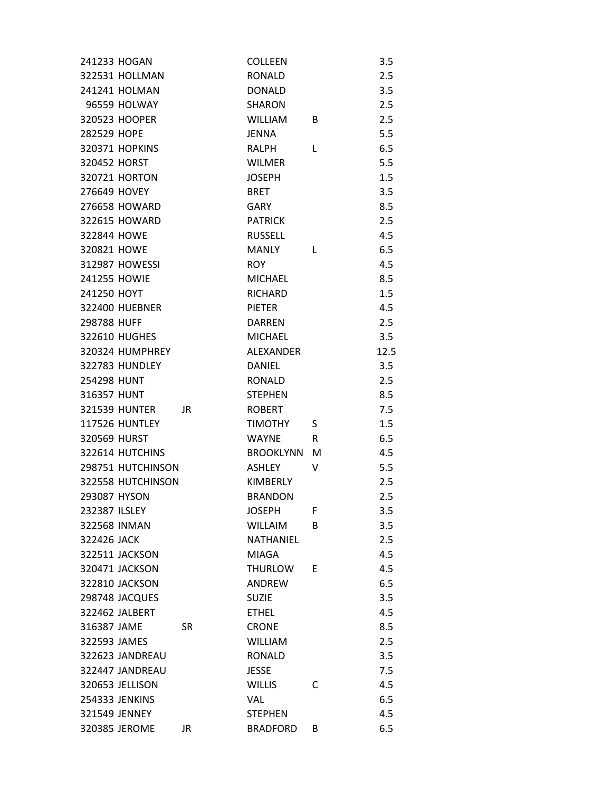| 241233 HOGAN          |           | <b>COLLEEN</b>   |   | 3.5  |
|-----------------------|-----------|------------------|---|------|
| 322531 HOLLMAN        |           | <b>RONALD</b>    |   | 2.5  |
| 241241 HOLMAN         |           | <b>DONALD</b>    |   | 3.5  |
| 96559 HOLWAY          |           | <b>SHARON</b>    |   | 2.5  |
| 320523 HOOPER         |           | <b>WILLIAM</b>   | B | 2.5  |
| 282529 HOPE           |           | <b>JENNA</b>     |   | 5.5  |
| 320371 HOPKINS        |           | RALPH            | L | 6.5  |
| 320452 HORST          |           | <b>WILMER</b>    |   | 5.5  |
| 320721 HORTON         |           | <b>JOSEPH</b>    |   | 1.5  |
| 276649 HOVEY          |           | <b>BRET</b>      |   | 3.5  |
| 276658 HOWARD         |           | <b>GARY</b>      |   | 8.5  |
| 322615 HOWARD         |           | <b>PATRICK</b>   |   | 2.5  |
| 322844 HOWE           |           | <b>RUSSELL</b>   |   | 4.5  |
| 320821 HOWE           |           | <b>MANLY</b>     | L | 6.5  |
| 312987 HOWESSI        |           | <b>ROY</b>       |   | 4.5  |
| 241255 HOWIE          |           | <b>MICHAEL</b>   |   | 8.5  |
| 241250 HOYT           |           | <b>RICHARD</b>   |   | 1.5  |
| <b>322400 HUEBNER</b> |           | <b>PIETER</b>    |   | 4.5  |
| 298788 HUFF           |           | <b>DARREN</b>    |   | 2.5  |
| 322610 HUGHES         |           | <b>MICHAEL</b>   |   | 3.5  |
| 320324 HUMPHREY       |           | ALEXANDER        |   | 12.5 |
| 322783 HUNDLEY        |           | <b>DANIEL</b>    |   | 3.5  |
| 254298 HUNT           |           | RONALD           |   | 2.5  |
| 316357 HUNT           |           | <b>STEPHEN</b>   |   | 8.5  |
| <b>321539 HUNTER</b>  | JR.       | <b>ROBERT</b>    |   | 7.5  |
| <b>117526 HUNTLEY</b> |           | <b>TIMOTHY</b>   | S | 1.5  |
| 320569 HURST          |           | <b>WAYNE</b>     | R | 6.5  |
| 322614 HUTCHINS       |           | <b>BROOKLYNN</b> | м | 4.5  |
| 298751 HUTCHINSON     |           | <b>ASHLEY</b>    | v | 5.5  |
| 322558 HUTCHINSON     |           | <b>KIMBERLY</b>  |   | 2.5  |
| 293087 HYSON          |           | <b>BRANDON</b>   |   | 2.5  |
| 232387 ILSLEY         |           | <b>JOSEPH</b>    | F | 3.5  |
| 322568 INMAN          |           | <b>WILLAIM</b>   | B | 3.5  |
| 322426 JACK           |           | NATHANIEL        |   | 2.5  |
| 322511 JACKSON        |           | <b>MIAGA</b>     |   | 4.5  |
| 320471 JACKSON        |           | <b>THURLOW</b>   | E | 4.5  |
| 322810 JACKSON        |           | ANDREW           |   | 6.5  |
| 298748 JACQUES        |           | <b>SUZIE</b>     |   | 3.5  |
| 322462 JALBERT        |           | <b>ETHEL</b>     |   | 4.5  |
| 316387 JAME           | <b>SR</b> | <b>CRONE</b>     |   | 8.5  |
| 322593 JAMES          |           | <b>WILLIAM</b>   |   | 2.5  |
| 322623 JANDREAU       |           | <b>RONALD</b>    |   | 3.5  |
| 322447 JANDREAU       |           | <b>JESSE</b>     |   | 7.5  |
| 320653 JELLISON       |           | <b>WILLIS</b>    | C | 4.5  |
| 254333 JENKINS        |           | <b>VAL</b>       |   | 6.5  |
| 321549 JENNEY         |           | <b>STEPHEN</b>   |   | 4.5  |
| 320385 JEROME         | JR        | <b>BRADFORD</b>  | B | 6.5  |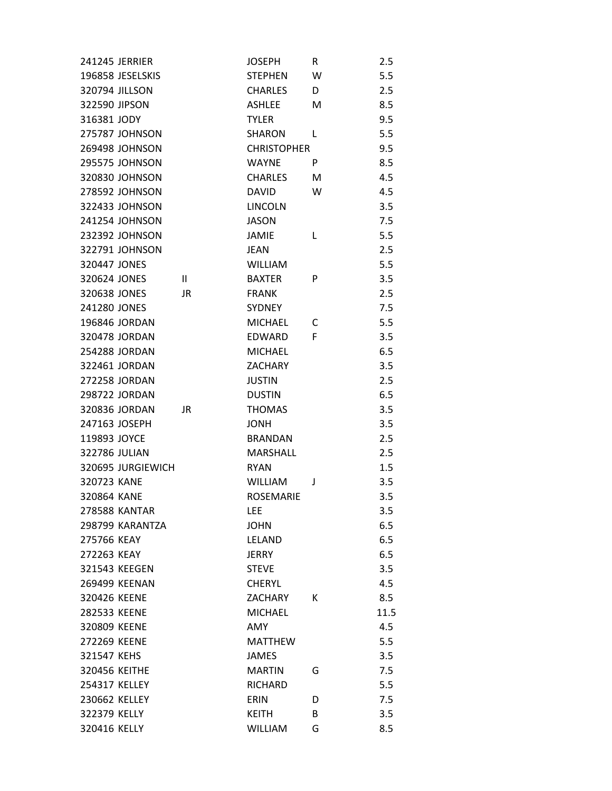| 241245 JERRIER               | <b>JOSEPH</b>      | R  | 2.5  |
|------------------------------|--------------------|----|------|
| 196858 JESELSKIS             | <b>STEPHEN</b>     | W  | 5.5  |
| 320794 JILLSON               | <b>CHARLES</b>     | D. | 2.5  |
| 322590 JIPSON                | <b>ASHLEE</b>      | M  | 8.5  |
| 316381 JODY                  | <b>TYLER</b>       |    | 9.5  |
| 275787 JOHNSON               | <b>SHARON</b>      | L  | 5.5  |
| 269498 JOHNSON               | <b>CHRISTOPHER</b> |    | 9.5  |
| <b>295575 JOHNSON</b>        | <b>WAYNE</b>       | P  | 8.5  |
| 320830 JOHNSON               | <b>CHARLES</b>     | М  | 4.5  |
| 278592 JOHNSON               | <b>DAVID</b>       | W  | 4.5  |
| 322433 JOHNSON               | <b>LINCOLN</b>     |    | 3.5  |
| 241254 JOHNSON               | <b>JASON</b>       |    | 7.5  |
| 232392 JOHNSON               | JAMIE              | L  | 5.5  |
| 322791 JOHNSON               | JEAN               |    | 2.5  |
| 320447 JONES                 | <b>WILLIAM</b>     |    | 5.5  |
| 320624 JONES<br>$\mathbf{H}$ | <b>BAXTER</b>      | P  | 3.5  |
| 320638 JONES<br>JR           | <b>FRANK</b>       |    | 2.5  |
| 241280 JONES                 | <b>SYDNEY</b>      |    | 7.5  |
| 196846 JORDAN                | <b>MICHAEL</b>     | C  | 5.5  |
| 320478 JORDAN                | <b>EDWARD</b>      | F  | 3.5  |
| 254288 JORDAN                | <b>MICHAEL</b>     |    | 6.5  |
| 322461 JORDAN                | <b>ZACHARY</b>     |    | 3.5  |
| 272258 JORDAN                | <b>JUSTIN</b>      |    | 2.5  |
| 298722 JORDAN                | <b>DUSTIN</b>      |    | 6.5  |
| 320836 JORDAN<br>JR          | <b>THOMAS</b>      |    | 3.5  |
| 247163 JOSEPH                | <b>JONH</b>        |    | 3.5  |
| 119893 JOYCE                 | <b>BRANDAN</b>     |    | 2.5  |
| 322786 JULIAN                | <b>MARSHALL</b>    |    | 2.5  |
| 320695 JURGIEWICH            | <b>RYAN</b>        |    | 1.5  |
| 320723 KANE                  | <b>WILLIAM</b>     | J  | 3.5  |
| 320864 KANE                  | <b>ROSEMARIE</b>   |    | 3.5  |
| <b>278588 KANTAR</b>         | <b>LEE</b>         |    | 3.5  |
| 298799 KARANTZA              | <b>JOHN</b>        |    | 6.5  |
| 275766 KEAY                  | <b>LELAND</b>      |    | 6.5  |
| 272263 KEAY                  | <b>JERRY</b>       |    | 6.5  |
| 321543 KEEGEN                | <b>STEVE</b>       |    | 3.5  |
| 269499 KEENAN                | <b>CHERYL</b>      |    | 4.5  |
| 320426 KEENE                 | <b>ZACHARY</b>     | К  | 8.5  |
| 282533 KEENE                 | <b>MICHAEL</b>     |    | 11.5 |
| 320809 KEENE                 | AMY                |    | 4.5  |
| 272269 KEENE                 | <b>MATTHEW</b>     |    | 5.5  |
| 321547 KEHS                  | <b>JAMES</b>       |    | 3.5  |
| 320456 KEITHE                | <b>MARTIN</b>      | G  | 7.5  |
| 254317 KELLEY                | <b>RICHARD</b>     |    | 5.5  |
| 230662 KELLEY                | <b>ERIN</b>        | D  | 7.5  |
| 322379 KELLY                 | <b>KEITH</b>       | B  | 3.5  |
| 320416 KELLY                 | <b>WILLIAM</b>     | G  | 8.5  |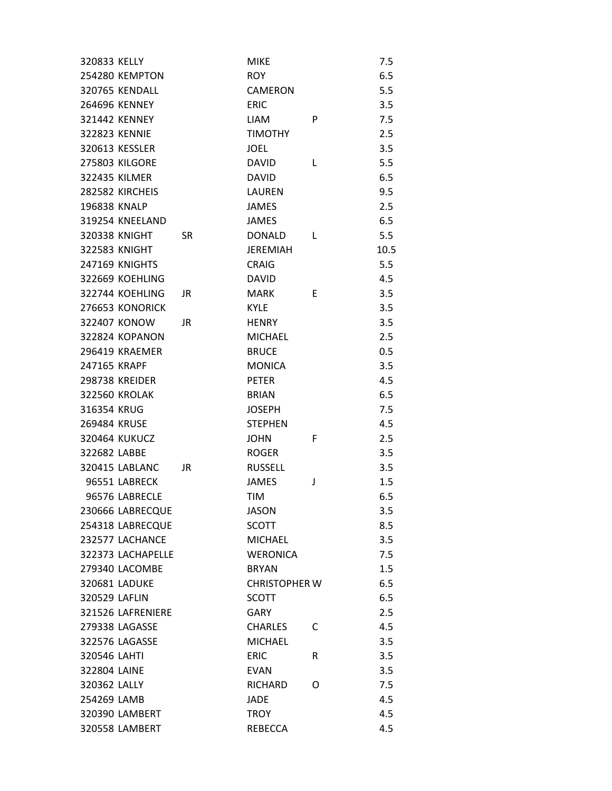| 320833 KELLY          |           | <b>MIKE</b>          |   | 7.5  |
|-----------------------|-----------|----------------------|---|------|
| 254280 KEMPTON        |           | <b>ROY</b>           |   | 6.5  |
| <b>320765 KENDALL</b> |           | CAMERON              |   | 5.5  |
| 264696 KENNEY         |           | <b>ERIC</b>          |   | 3.5  |
| 321442 KENNEY         |           | <b>LIAM</b>          | P | 7.5  |
| 322823 KENNIE         |           | <b>TIMOTHY</b>       |   | 2.5  |
| 320613 KESSLER        |           | <b>JOEL</b>          |   | 3.5  |
| <b>275803 KILGORE</b> |           | <b>DAVID</b>         | L | 5.5  |
| 322435 KILMER         |           | <b>DAVID</b>         |   | 6.5  |
| 282582 KIRCHEIS       |           | LAUREN               |   | 9.5  |
| 196838 KNALP          |           | JAMES                |   | 2.5  |
| 319254 KNEELAND       |           | <b>JAMES</b>         |   | 6.5  |
| 320338 KNIGHT         | <b>SR</b> | <b>DONALD</b>        | L | 5.5  |
| 322583 KNIGHT         |           | <b>JEREMIAH</b>      |   | 10.5 |
| <b>247169 KNIGHTS</b> |           | <b>CRAIG</b>         |   | 5.5  |
| 322669 KOEHLING       |           | <b>DAVID</b>         |   | 4.5  |
| 322744 KOEHLING       | JR.       | <b>MARK</b>          | E | 3.5  |
| 276653 KONORICK       |           | <b>KYLE</b>          |   | 3.5  |
| 322407 KONOW          | JR        | <b>HENRY</b>         |   | 3.5  |
| <b>322824 KOPANON</b> |           | <b>MICHAEL</b>       |   | 2.5  |
| <b>296419 KRAEMER</b> |           | <b>BRUCE</b>         |   | 0.5  |
| 247165 KRAPF          |           | <b>MONICA</b>        |   | 3.5  |
| <b>298738 KREIDER</b> |           | <b>PETER</b>         |   | 4.5  |
| <b>322560 KROLAK</b>  |           | <b>BRIAN</b>         |   | 6.5  |
| 316354 KRUG           |           | <b>JOSEPH</b>        |   | 7.5  |
| 269484 KRUSE          |           | <b>STEPHEN</b>       |   | 4.5  |
| 320464 KUKUCZ         |           | <b>JOHN</b>          | F | 2.5  |
| 322682 LABBE          |           | <b>ROGER</b>         |   | 3.5  |
| 320415 LABLANC        | JR        | <b>RUSSELL</b>       |   | 3.5  |
| 96551 LABRECK         |           | <b>JAMES</b>         | J | 1.5  |
| 96576 LABRECLE        |           | <b>TIM</b>           |   | 6.5  |
| 230666 LABRECQUE      |           | JASON                |   | 3.5  |
| 254318 LABRECQUE      |           | <b>SCOTT</b>         |   | 8.5  |
| 232577 LACHANCE       |           | <b>MICHAEL</b>       |   | 3.5  |
| 322373 LACHAPELLE     |           | <b>WERONICA</b>      |   | 7.5  |
| 279340 LACOMBE        |           | <b>BRYAN</b>         |   | 1.5  |
| 320681 LADUKE         |           | <b>CHRISTOPHER W</b> |   | 6.5  |
| 320529 LAFLIN         |           | <b>SCOTT</b>         |   | 6.5  |
| 321526 LAFRENIERE     |           | GARY                 |   | 2.5  |
| 279338 LAGASSE        |           | <b>CHARLES</b>       | С | 4.5  |
| 322576 LAGASSE        |           | <b>MICHAEL</b>       |   | 3.5  |
| 320546 LAHTI          |           | <b>ERIC</b>          | R | 3.5  |
| 322804 LAINE          |           | <b>EVAN</b>          |   | 3.5  |
| 320362 LALLY          |           | <b>RICHARD</b>       | O | 7.5  |
| 254269 LAMB           |           | <b>JADE</b>          |   | 4.5  |
| 320390 LAMBERT        |           | <b>TROY</b>          |   | 4.5  |
| 320558 LAMBERT        |           | <b>REBECCA</b>       |   | 4.5  |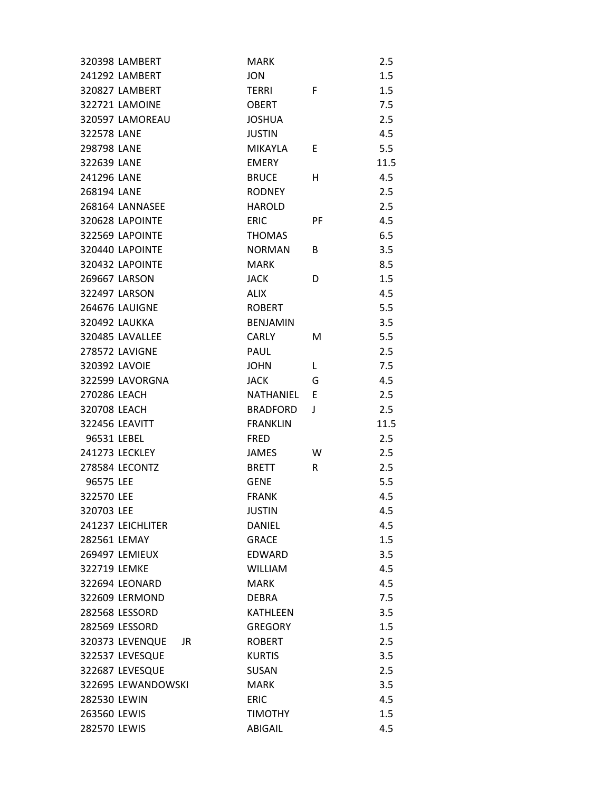| 320398 LAMBERT         | <b>MARK</b>          | 2.5  |
|------------------------|----------------------|------|
| 241292 LAMBERT         | <b>JON</b>           | 1.5  |
| <b>320827 LAMBERT</b>  | F<br><b>TERRI</b>    | 1.5  |
| 322721 LAMOINE         | <b>OBERT</b>         | 7.5  |
| 320597 LAMOREAU        | <b>JOSHUA</b>        | 2.5  |
| 322578 LANE            | <b>JUSTIN</b>        | 4.5  |
| 298798 LANE            | <b>MIKAYLA</b><br>E  | 5.5  |
| 322639 LANE            | <b>EMERY</b>         | 11.5 |
| 241296 LANE            | <b>BRUCE</b><br>н    | 4.5  |
| 268194 LANE            | <b>RODNEY</b>        | 2.5  |
| 268164 LANNASEE        | <b>HAROLD</b>        | 2.5  |
| 320628 LAPOINTE        | <b>ERIC</b><br>РF    | 4.5  |
| 322569 LAPOINTE        | <b>THOMAS</b>        | 6.5  |
| 320440 LAPOINTE        | <b>NORMAN</b><br>B   | 3.5  |
| 320432 LAPOINTE        | <b>MARK</b>          | 8.5  |
| 269667 LARSON          | <b>JACK</b><br>D     | 1.5  |
| 322497 LARSON          | <b>ALIX</b>          | 4.5  |
| <b>264676 LAUIGNE</b>  | <b>ROBERT</b>        | 5.5  |
| 320492 LAUKKA          | <b>BENJAMIN</b>      | 3.5  |
| 320485 LAVALLEE        | <b>CARLY</b><br>M    | 5.5  |
| <b>278572 LAVIGNE</b>  | PAUL                 | 2.5  |
| 320392 LAVOIE          | <b>JOHN</b><br>L     | 7.5  |
| 322599 LAVORGNA        | JACK<br>G            | 4.5  |
| 270286 LEACH           | NATHANIEL<br>E       | 2.5  |
| 320708 LEACH           | <b>BRADFORD</b><br>J | 2.5  |
| 322456 LEAVITT         | <b>FRANKLIN</b>      | 11.5 |
| 96531 LEBEL            | <b>FRED</b>          | 2.5  |
| 241273 LECKLEY         | <b>JAMES</b><br>W    | 2.5  |
| 278584 LECONTZ         | R<br><b>BRETT</b>    | 2.5  |
| 96575 LEE              | <b>GENE</b>          | 5.5  |
| 322570 LEE             | <b>FRANK</b>         | 4.5  |
| 320703 LEE             | <b>JUSTIN</b>        | 4.5  |
| 241237 LEICHLITER      | <b>DANIEL</b>        | 4.5  |
| 282561 LEMAY           | <b>GRACE</b>         | 1.5  |
| 269497 LEMIEUX         | <b>EDWARD</b>        | 3.5  |
| 322719 LEMKE           | <b>WILLIAM</b>       | 4.5  |
| 322694 LEONARD         | <b>MARK</b>          | 4.5  |
| 322609 LERMOND         | <b>DEBRA</b>         | 7.5  |
| <b>282568 LESSORD</b>  | <b>KATHLEEN</b>      | 3.5  |
| 282569 LESSORD         | <b>GREGORY</b>       | 1.5  |
| 320373 LEVENQUE<br>JR. | <b>ROBERT</b>        | 2.5  |
| 322537 LEVESQUE        | <b>KURTIS</b>        | 3.5  |
| 322687 LEVESQUE        | <b>SUSAN</b>         | 2.5  |
| 322695 LEWANDOWSKI     | <b>MARK</b>          | 3.5  |
| 282530 LEWIN           | <b>ERIC</b>          | 4.5  |
| 263560 LEWIS           | <b>TIMOTHY</b>       | 1.5  |
| 282570 LEWIS           | ABIGAIL              | 4.5  |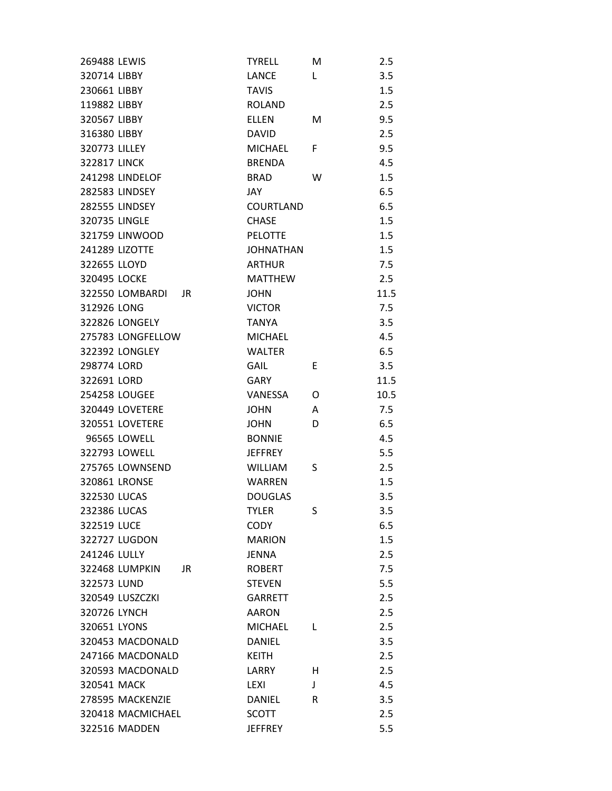| 269488 LEWIS          | <b>TYRELL</b>    | М  | 2.5  |
|-----------------------|------------------|----|------|
| 320714 LIBBY          | <b>LANCE</b>     | L  | 3.5  |
| 230661 LIBBY          | <b>TAVIS</b>     |    | 1.5  |
| 119882 LIBBY          | <b>ROLAND</b>    |    | 2.5  |
| 320567 LIBBY          | <b>ELLEN</b>     | M  | 9.5  |
| 316380 LIBBY          | <b>DAVID</b>     |    | 2.5  |
| 320773 LILLEY         | <b>MICHAEL</b>   | F. | 9.5  |
| <b>322817 LINCK</b>   | <b>BRENDA</b>    |    | 4.5  |
| 241298 LINDELOF       | <b>BRAD</b>      | W  | 1.5  |
| 282583 LINDSEY        | JAY              |    | 6.5  |
| <b>282555 LINDSEY</b> | <b>COURTLAND</b> |    | 6.5  |
| 320735 LINGLE         | <b>CHASE</b>     |    | 1.5  |
| 321759 LINWOOD        | <b>PELOTTE</b>   |    | 1.5  |
| 241289 LIZOTTE        | <b>JOHNATHAN</b> |    | 1.5  |
| 322655 LLOYD          | <b>ARTHUR</b>    |    | 7.5  |
| 320495 LOCKE          | <b>MATTHEW</b>   |    | 2.5  |
| 322550 LOMBARDI<br>JR | <b>JOHN</b>      |    | 11.5 |
| 312926 LONG           | <b>VICTOR</b>    |    | 7.5  |
| <b>322826 LONGELY</b> | <b>TANYA</b>     |    | 3.5  |
| 275783 LONGFELLOW     | <b>MICHAEL</b>   |    | 4.5  |
| <b>322392 LONGLEY</b> | <b>WALTER</b>    |    | 6.5  |
| 298774 LORD           | <b>GAIL</b>      | E  | 3.5  |
| 322691 LORD           | <b>GARY</b>      |    | 11.5 |
| 254258 LOUGEE         | VANESSA          | 0  | 10.5 |
| 320449 LOVETERE       | <b>JOHN</b>      | A  | 7.5  |
| 320551 LOVETERE       | <b>JOHN</b>      | D  | 6.5  |
| 96565 LOWELL          | <b>BONNIE</b>    |    | 4.5  |
| 322793 LOWELL         | <b>JEFFREY</b>   |    | 5.5  |
| 275765 LOWNSEND       | <b>WILLIAM</b>   | S  | 2.5  |
| 320861 LRONSE         | <b>WARREN</b>    |    | 1.5  |
| 322530 LUCAS          | <b>DOUGLAS</b>   |    | 3.5  |
| 232386 LUCAS          | <b>TYLER</b>     | S  | 3.5  |
| 322519 LUCE           | <b>CODY</b>      |    | 6.5  |
| 322727 LUGDON         | <b>MARION</b>    |    | 1.5  |
| 241246 LULLY          | JENNA            |    | 2.5  |
| 322468 LUMPKIN<br>JR  | <b>ROBERT</b>    |    | 7.5  |
| 322573 LUND           | <b>STEVEN</b>    |    | 5.5  |
| 320549 LUSZCZKI       | <b>GARRETT</b>   |    | 2.5  |
| 320726 LYNCH          | <b>AARON</b>     |    | 2.5  |
| 320651 LYONS          | <b>MICHAEL</b>   | L  | 2.5  |
| 320453 MACDONALD      | <b>DANIEL</b>    |    | 3.5  |
| 247166 MACDONALD      | <b>KEITH</b>     |    | 2.5  |
| 320593 MACDONALD      | LARRY            | H  | 2.5  |
| 320541 MACK           | LEXI             | T  | 4.5  |
| 278595 MACKENZIE      | <b>DANIEL</b>    | R  | 3.5  |
| 320418 MACMICHAEL     | SCOTT            |    | 2.5  |
| 322516 MADDEN         | <b>JEFFREY</b>   |    | 5.5  |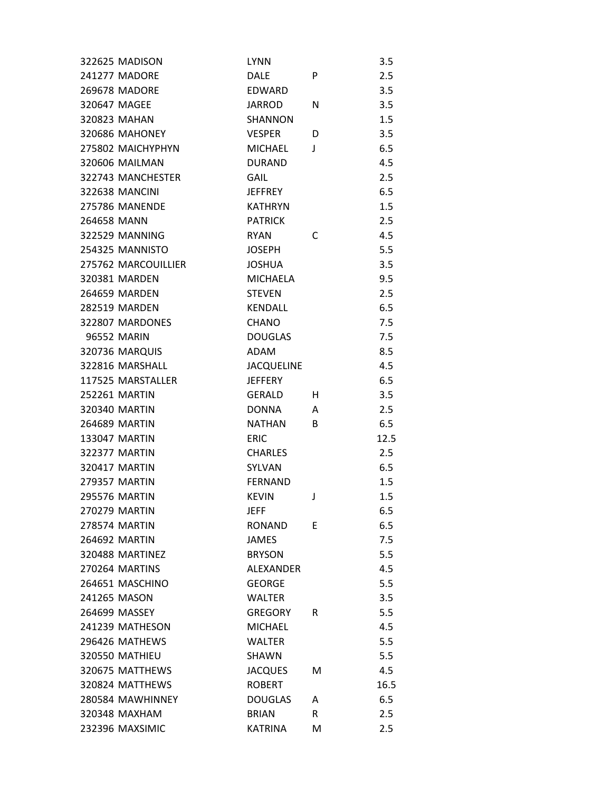|             | 322625 MADISON        | <b>LYNN</b>       |    | 3.5  |
|-------------|-----------------------|-------------------|----|------|
|             | 241277 MADORE         | <b>DALF</b>       | P  | 2.5  |
|             | 269678 MADORE         | <b>EDWARD</b>     |    | 3.5  |
|             | 320647 MAGEE          | <b>JARROD</b>     | N  | 3.5  |
|             | 320823 MAHAN          | <b>SHANNON</b>    |    | 1.5  |
|             | <b>320686 MAHONEY</b> | <b>VESPER</b>     | D  | 3.5  |
|             | 275802 MAICHYPHYN     | <b>MICHAEL</b>    | J  | 6.5  |
|             | 320606 MAILMAN        | <b>DURAND</b>     |    | 4.5  |
|             | 322743 MANCHESTER     | <b>GAIL</b>       |    | 2.5  |
|             | <b>322638 MANCINI</b> | <b>JEFFREY</b>    |    | 6.5  |
|             | <b>275786 MANENDE</b> | <b>KATHRYN</b>    |    | 1.5  |
| 264658 MANN |                       | <b>PATRICK</b>    |    | 2.5  |
|             | 322529 MANNING        | <b>RYAN</b>       | С  | 4.5  |
|             | 254325 MANNISTO       | <b>JOSEPH</b>     |    | 5.5  |
|             | 275762 MARCOUILLIER   | <b>JOSHUA</b>     |    | 3.5  |
|             | 320381 MARDEN         | <b>MICHAELA</b>   |    | 9.5  |
|             | 264659 MARDEN         | <b>STEVEN</b>     |    | 2.5  |
|             | <b>282519 MARDEN</b>  | <b>KENDALL</b>    |    | 6.5  |
|             | 322807 MARDONES       | <b>CHANO</b>      |    | 7.5  |
|             | 96552 MARIN           | <b>DOUGLAS</b>    |    | 7.5  |
|             | 320736 MARQUIS        | <b>ADAM</b>       |    | 8.5  |
|             | 322816 MARSHALL       | <b>JACQUELINE</b> |    | 4.5  |
|             | 117525 MARSTALLER     | <b>JEFFERY</b>    |    | 6.5  |
|             | 252261 MARTIN         | <b>GERALD</b>     | H. | 3.5  |
|             | 320340 MARTIN         | <b>DONNA</b>      | A  | 2.5  |
|             | 264689 MARTIN         | <b>NATHAN</b>     | B  | 6.5  |
|             | 133047 MARTIN         | <b>ERIC</b>       |    | 12.5 |
|             | <b>322377 MARTIN</b>  | <b>CHARLES</b>    |    | 2.5  |
|             | 320417 MARTIN         | SYLVAN            |    | 6.5  |
|             | <b>279357 MARTIN</b>  | <b>FFRNAND</b>    |    | 1.5  |
|             | <b>295576 MARTIN</b>  | <b>KEVIN</b>      | J  | 1.5  |
|             | 270279 MARTIN         | JEFF              |    | 6.5  |
|             | 278574 MARTIN         | <b>RONAND</b>     | E  | 6.5  |
|             | 264692 MARTIN         | <b>JAMES</b>      |    | 7.5  |
|             | 320488 MARTINEZ       | <b>BRYSON</b>     |    | 5.5  |
|             | 270264 MARTINS        | <b>ALEXANDER</b>  |    | 4.5  |
|             | 264651 MASCHINO       | <b>GEORGE</b>     |    | 5.5  |
|             | 241265 MASON          | <b>WALTER</b>     |    | 3.5  |
|             | 264699 MASSEY         | <b>GREGORY</b>    | R  | 5.5  |
|             | 241239 MATHESON       | <b>MICHAEL</b>    |    | 4.5  |
|             | 296426 MATHEWS        | <b>WALTER</b>     |    | 5.5  |
|             | <b>320550 MATHIEU</b> | SHAWN             |    | 5.5  |
|             | 320675 MATTHEWS       | <b>JACQUES</b>    | М  | 4.5  |
|             | 320824 MATTHEWS       | <b>ROBERT</b>     |    | 16.5 |
|             | 280584 MAWHINNEY      | <b>DOUGLAS</b>    | A  | 6.5  |
|             | 320348 MAXHAM         | <b>BRIAN</b>      | R. | 2.5  |
|             | 232396 MAXSIMIC       | <b>KATRINA</b>    | M  | 2.5  |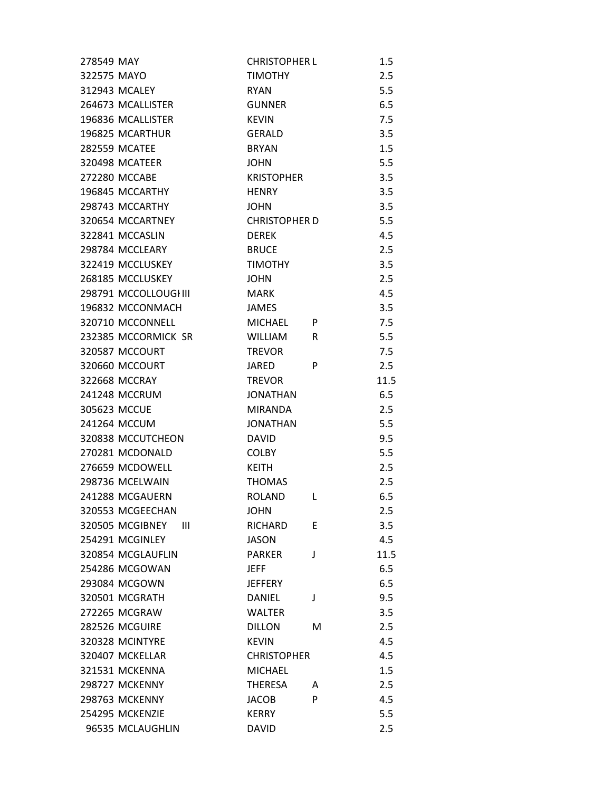| 278549 MAY            | <b>CHRISTOPHER L</b> | 1.5       |  |
|-----------------------|----------------------|-----------|--|
| 322575 MAYO           | <b>TIMOTHY</b>       | 2.5       |  |
| 312943 MCALEY         | <b>RYAN</b>          | 5.5       |  |
| 264673 MCALLISTER     | GUNNER               | 6.5       |  |
| 196836 MCALLISTER     | <b>KEVIN</b>         | 7.5       |  |
| 196825 MCARTHUR       | <b>GERALD</b>        | 3.5       |  |
| <b>282559 MCATEE</b>  | <b>BRYAN</b>         | 1.5       |  |
| 320498 MCATEER        | <b>JOHN</b>          | 5.5       |  |
| 272280 MCCABE         | <b>KRISTOPHER</b>    | 3.5       |  |
| 196845 MCCARTHY       | HENRY                | 3.5       |  |
| 298743 MCCARTHY       | <b>JOHN</b>          | 3.5       |  |
| 320654 MCCARTNEY      | <b>CHRISTOPHER D</b> | 5.5       |  |
| 322841 MCCASLIN       | <b>DEREK</b>         | 4.5       |  |
| 298784 MCCLEARY       | <b>BRUCE</b>         | 2.5       |  |
| 322419 MCCLUSKEY      | <b>TIMOTHY</b>       | 3.5       |  |
| 268185 MCCLUSKEY      | <b>JOHN</b>          | 2.5       |  |
| 298791 MCCOLLOUGHII   | MARK                 | 4.5       |  |
| 196832 MCCONMACH      | <b>JAMES</b>         | 3.5       |  |
| 320710 MCCONNELL      | <b>MICHAEL</b>       | 7.5<br>P  |  |
| 232385 MCCORMICK SR   | WILLIAM              | 5.5<br>R  |  |
| 320587 MCCOURT        | <b>TREVOR</b>        | 7.5       |  |
| 320660 MCCOURT        | JARED                | 2.5<br>P  |  |
| 322668 MCCRAY         | <b>TREVOR</b>        | 11.5      |  |
| 241248 MCCRUM         | <b>JONATHAN</b>      | 6.5       |  |
| 305623 MCCUE          | MIRANDA              | 2.5       |  |
| 241264 MCCUM          | JONATHAN             | 5.5       |  |
| 320838 MCCUTCHEON     | <b>DAVID</b>         | 9.5       |  |
| 270281 MCDONALD       | <b>COLBY</b>         | 5.5       |  |
| 276659 MCDOWELL       | <b>KEITH</b>         | 2.5       |  |
| 298736 MCELWAIN       | <b>THOMAS</b>        | 2.5       |  |
| 241288 MCGAUERN       | <b>ROLAND</b>        | 6.5<br>L  |  |
| 320553 MCGEECHAN      | <b>JOHN</b>          | 2.5       |  |
| 320505 MCGIBNEY<br>Ш  | RICHARD              | 3.5<br>E  |  |
| 254291 MCGINLEY       | <b>JASON</b>         | 4.5       |  |
| 320854 MCGLAUFLIN     | <b>PARKER</b>        | J<br>11.5 |  |
| 254286 MCGOWAN        | <b>JEFF</b>          | 6.5       |  |
| 293084 MCGOWN         | <b>JEFFERY</b>       | 6.5       |  |
| 320501 MCGRATH        | <b>DANIEL</b>        | 9.5<br>J  |  |
| <b>272265 MCGRAW</b>  | <b>WALTER</b>        | 3.5       |  |
| 282526 MCGUIRE        | <b>DILLON</b>        | 2.5<br>M  |  |
| 320328 MCINTYRE       | <b>KEVIN</b>         | 4.5       |  |
| 320407 MCKELLAR       | <b>CHRISTOPHER</b>   | 4.5       |  |
| 321531 MCKENNA        | <b>MICHAEL</b>       | 1.5       |  |
| 298727 MCKENNY        | <b>THERESA</b>       | 2.5<br>A  |  |
| <b>298763 MCKENNY</b> | <b>JACOB</b>         | 4.5<br>P  |  |
| 254295 MCKENZIE       | <b>KERRY</b>         | 5.5       |  |
| 96535 MCLAUGHLIN      | <b>DAVID</b>         | 2.5       |  |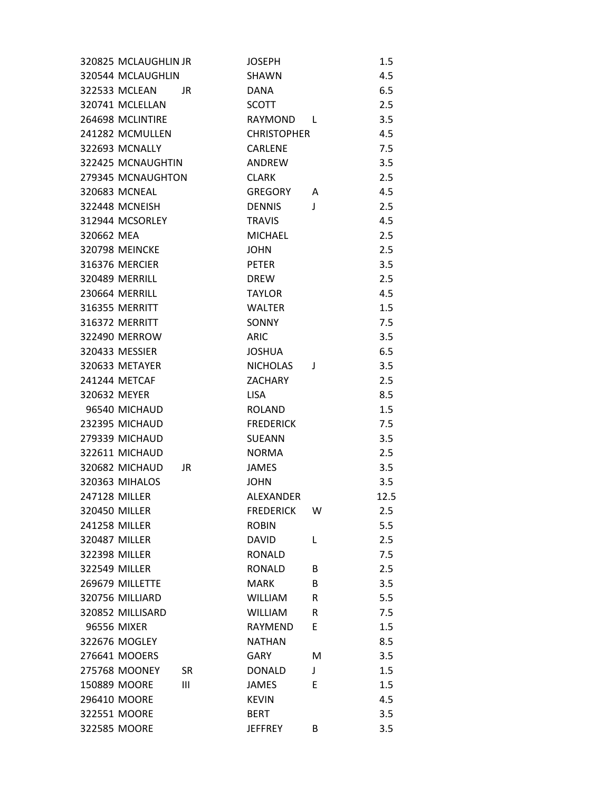|              | 320825 MCLAUGHLIN JR  |     | <b>JOSEPH</b>      |   | 1.5  |
|--------------|-----------------------|-----|--------------------|---|------|
|              | 320544 MCLAUGHLIN     |     | <b>SHAWN</b>       |   | 4.5  |
|              | 322533 MCLEAN         | JR. | <b>DANA</b>        |   | 6.5  |
|              | 320741 MCLELLAN       |     | <b>SCOTT</b>       |   | 2.5  |
|              | 264698 MCLINTIRE      |     | RAYMOND            | L | 3.5  |
|              | 241282 MCMULLEN       |     | <b>CHRISTOPHER</b> |   | 4.5  |
|              | <b>322693 MCNALLY</b> |     | CARLENE            |   | 7.5  |
|              | 322425 MCNAUGHTIN     |     | ANDREW             |   | 3.5  |
|              | 279345 MCNAUGHTON     |     | <b>CLARK</b>       |   | 2.5  |
|              | 320683 MCNEAL         |     | <b>GREGORY</b>     | A | 4.5  |
|              | 322448 MCNEISH        |     | <b>DENNIS</b>      | J | 2.5  |
|              | 312944 MCSORLEY       |     | <b>TRAVIS</b>      |   | 4.5  |
| 320662 MEA   |                       |     | <b>MICHAEL</b>     |   | 2.5  |
|              | <b>320798 MEINCKE</b> |     | <b>JOHN</b>        |   | 2.5  |
|              | <b>316376 MERCIER</b> |     | <b>PETER</b>       |   | 3.5  |
|              | <b>320489 MERRILL</b> |     | <b>DREW</b>        |   | 2.5  |
|              | 230664 MERRILL        |     | <b>TAYLOR</b>      |   | 4.5  |
|              | 316355 MERRITT        |     | <b>WALTER</b>      |   | 1.5  |
|              | <b>316372 MERRITT</b> |     | <b>SONNY</b>       |   | 7.5  |
|              | 322490 MERROW         |     | <b>ARIC</b>        |   | 3.5  |
|              | 320433 MESSIER        |     | <b>JOSHUA</b>      |   | 6.5  |
|              | 320633 METAYER        |     | <b>NICHOLAS</b>    | J | 3.5  |
|              | 241244 METCAF         |     | ZACHARY            |   | 2.5  |
| 320632 MEYER |                       |     | <b>LISA</b>        |   | 8.5  |
|              | 96540 MICHAUD         |     | <b>ROLAND</b>      |   | 1.5  |
|              | 232395 MICHAUD        |     | <b>FREDERICK</b>   |   | 7.5  |
|              | 279339 MICHAUD        |     | <b>SUEANN</b>      |   | 3.5  |
|              | 322611 MICHAUD        |     | <b>NORMA</b>       |   | 2.5  |
|              | 320682 MICHAUD        | JR  | <b>JAMES</b>       |   | 3.5  |
|              | 320363 MIHALOS        |     | <b>JOHN</b>        |   | 3.5  |
|              | 247128 MILLER         |     | ALEXANDER          |   | 12.5 |
|              | 320450 MILLER         |     | <b>FREDERICK</b>   | w | 2.5  |
|              | 241258 MILLER         |     | <b>ROBIN</b>       |   | 5.5  |
|              | 320487 MILLER         |     | DAVID              | L | 2.5  |
|              | 322398 MILLER         |     | <b>RONALD</b>      |   | 7.5  |
|              | 322549 MILLER         |     | <b>RONALD</b>      | B | 2.5  |
|              | 269679 MILLETTE       |     | <b>MARK</b>        | B | 3.5  |
|              | 320756 MILLIARD       |     | <b>WILLIAM</b>     | R | 5.5  |
|              | 320852 MILLISARD      |     | <b>WILLIAM</b>     | R | 7.5  |
|              | 96556 MIXER           |     | RAYMEND            | E | 1.5  |
|              | 322676 MOGLEY         |     | <b>NATHAN</b>      |   | 8.5  |
|              | 276641 MOOERS         |     | <b>GARY</b>        | м | 3.5  |
|              | 275768 MOONEY         | SR  | <b>DONALD</b>      | J | 1.5  |
|              | 150889 MOORE          | III | <b>JAMES</b>       | E | 1.5  |
|              | 296410 MOORE          |     | <b>KEVIN</b>       |   | 4.5  |
|              | 322551 MOORE          |     | <b>BERT</b>        |   | 3.5  |
|              | 322585 MOORE          |     | <b>JEFFREY</b>     | B | 3.5  |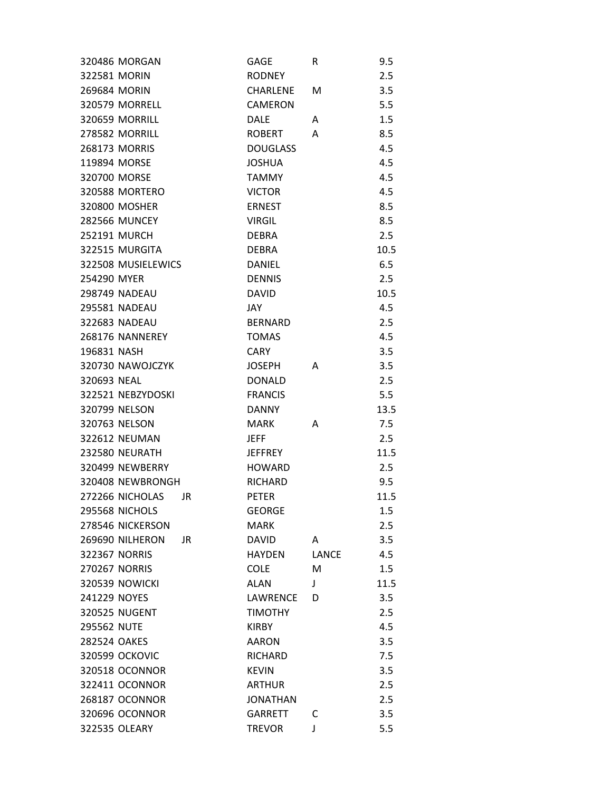| 320486 MORGAN          | GAGE            | R            | 9.5  |
|------------------------|-----------------|--------------|------|
| 322581 MORIN           | <b>RODNEY</b>   |              | 2.5  |
| 269684 MORIN           | <b>CHARLENE</b> | м            | 3.5  |
| <b>320579 MORRELL</b>  | <b>CAMERON</b>  |              | 5.5  |
| <b>320659 MORRILL</b>  | <b>DALE</b>     | A            | 1.5  |
| 278582 MORRILL         | <b>ROBERT</b>   | A            | 8.5  |
| 268173 MORRIS          | <b>DOUGLASS</b> |              | 4.5  |
| 119894 MORSE           | <b>JOSHUA</b>   |              | 4.5  |
| 320700 MORSE           | <b>TAMMY</b>    |              | 4.5  |
| 320588 MORTERO         | <b>VICTOR</b>   |              | 4.5  |
| 320800 MOSHER          | <b>ERNEST</b>   |              | 8.5  |
| <b>282566 MUNCEY</b>   | <b>VIRGIL</b>   |              | 8.5  |
| 252191 MURCH           | <b>DEBRA</b>    |              | 2.5  |
| 322515 MURGITA         | <b>DEBRA</b>    |              | 10.5 |
| 322508 MUSIELEWICS     | <b>DANIEL</b>   |              | 6.5  |
| 254290 MYER            | <b>DENNIS</b>   |              | 2.5  |
| 298749 NADEAU          | <b>DAVID</b>    |              | 10.5 |
| 295581 NADEAU          | JAY.            |              | 4.5  |
| 322683 NADEAU          | <b>BERNARD</b>  |              | 2.5  |
| 268176 NANNEREY        | <b>TOMAS</b>    |              | 4.5  |
| 196831 NASH            | <b>CARY</b>     |              | 3.5  |
| 320730 NAWOJCZYK       | <b>JOSEPH</b>   | A            | 3.5  |
| 320693 NEAL            | <b>DONALD</b>   |              | 2.5  |
| 322521 NEBZYDOSKI      | <b>FRANCIS</b>  |              | 5.5  |
| 320799 NELSON          | <b>DANNY</b>    |              | 13.5 |
| 320763 NELSON          | <b>MARK</b>     | A            | 7.5  |
| 322612 NEUMAN          | <b>JEFF</b>     |              | 2.5  |
| <b>232580 NEURATH</b>  | <b>JEFFREY</b>  |              | 11.5 |
| 320499 NEWBERRY        | <b>HOWARD</b>   |              | 2.5  |
| 320408 NEWBRONGH       | <b>RICHARD</b>  |              | 9.5  |
| 272266 NICHOLAS<br>JR  | <b>PETER</b>    |              | 11.5 |
| 295568 NICHOLS         | <b>GEORGE</b>   |              | 1.5  |
| 278546 NICKERSON       | <b>MARK</b>     |              | 2.5  |
| 269690 NILHERON<br>JR. | <b>DAVID</b>    | A            | 3.5  |
| <b>322367 NORRIS</b>   | <b>HAYDEN</b>   | <b>LANCE</b> | 4.5  |
| <b>270267 NORRIS</b>   | <b>COLE</b>     | M            | 1.5  |
| <b>320539 NOWICKI</b>  | <b>ALAN</b>     | J            | 11.5 |
| 241229 NOYES           | LAWRENCE        | D            | 3.5  |
| 320525 NUGENT          | <b>TIMOTHY</b>  |              | 2.5  |
| 295562 NUTE            | <b>KIRBY</b>    |              | 4.5  |
| 282524 OAKES           | <b>AARON</b>    |              | 3.5  |
| <b>320599 OCKOVIC</b>  | RICHARD         |              | 7.5  |
| 320518 OCONNOR         | <b>KEVIN</b>    |              | 3.5  |
| 322411 OCONNOR         | <b>ARTHUR</b>   |              | 2.5  |
| 268187 OCONNOR         | <b>JONATHAN</b> |              | 2.5  |
| 320696 OCONNOR         | <b>GARRETT</b>  | C            | 3.5  |
| 322535 OLEARY          | <b>TREVOR</b>   | J            | 5.5  |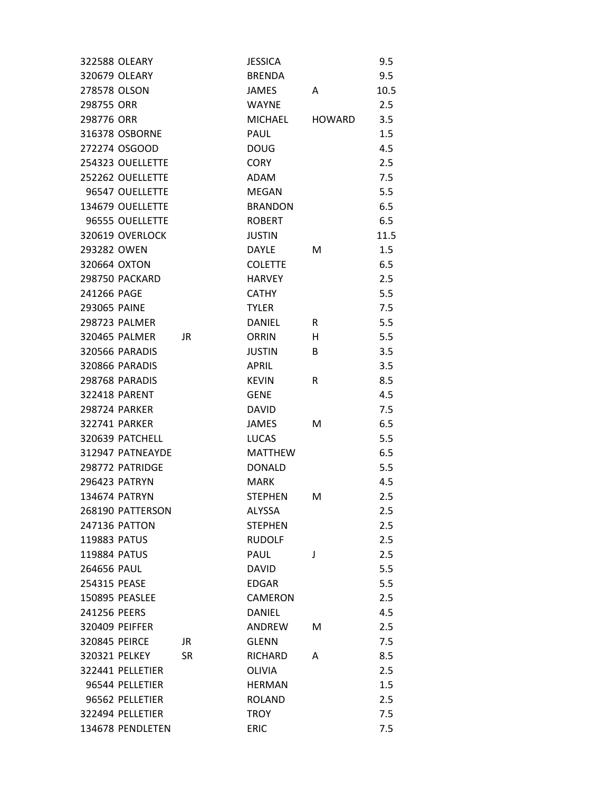| 322588 OLEARY         |           | <b>JESSICA</b> |               | 9.5  |
|-----------------------|-----------|----------------|---------------|------|
| 320679 OLEARY         |           | <b>BRENDA</b>  |               | 9.5  |
| 278578 OLSON          |           | JAMES          | A             | 10.5 |
| 298755 ORR            |           | <b>WAYNE</b>   |               | 2.5  |
| 298776 ORR            |           | <b>MICHAEL</b> | <b>HOWARD</b> | 3.5  |
| 316378 OSBORNE        |           | PAUL           |               | 1.5  |
| 272274 OSGOOD         |           | <b>DOUG</b>    |               | 4.5  |
| 254323 OUELLETTE      |           | <b>CORY</b>    |               | 2.5  |
| 252262 OUELLETTE      |           | ADAM           |               | 7.5  |
| 96547 OUELLETTE       |           | <b>MEGAN</b>   |               | 5.5  |
| 134679 OUELLETTE      |           | <b>BRANDON</b> |               | 6.5  |
| 96555 OUELLETTE       |           | <b>ROBERT</b>  |               | 6.5  |
| 320619 OVERLOCK       |           | <b>JUSTIN</b>  |               | 11.5 |
| 293282 OWEN           |           | DAYLE          | м             | 1.5  |
| 320664 OXTON          |           | <b>COLETTE</b> |               | 6.5  |
| <b>298750 PACKARD</b> |           | <b>HARVEY</b>  |               | 2.5  |
| 241266 PAGE           |           | <b>CATHY</b>   |               | 5.5  |
| 293065 PAINE          |           | <b>TYLER</b>   |               | 7.5  |
| 298723 PALMER         |           | <b>DANIEL</b>  | R             | 5.5  |
| 320465 PALMER         | JR        | ORRIN          | н             | 5.5  |
| 320566 PARADIS        |           | <b>JUSTIN</b>  | B             | 3.5  |
| 320866 PARADIS        |           | APRIL          |               | 3.5  |
| 298768 PARADIS        |           | <b>KEVIN</b>   | R             | 8.5  |
| 322418 PARENT         |           | <b>GENE</b>    |               | 4.5  |
| 298724 PARKER         |           | <b>DAVID</b>   |               | 7.5  |
| 322741 PARKER         |           | JAMES          | м             | 6.5  |
| 320639 PATCHELL       |           | <b>LUCAS</b>   |               | 5.5  |
| 312947 PATNEAYDE      |           | <b>MATTHEW</b> |               | 6.5  |
| 298772 PATRIDGE       |           | <b>DONALD</b>  |               | 5.5  |
| 296423 PATRYN         |           | <b>MARK</b>    |               | 4.5  |
| 134674 PATRYN         |           | <b>STEPHEN</b> | м             | 2.5  |
| 268190 PATTERSON      |           | ALYSSA         |               | 2.5  |
| 247136 PATTON         |           | <b>STEPHEN</b> |               | 2.5  |
| 119883 PATUS          |           | <b>RUDOLF</b>  |               | 2.5  |
| 119884 PATUS          |           | <b>PAUL</b>    | J             | 2.5  |
| 264656 PAUL           |           | <b>DAVID</b>   |               | 5.5  |
| 254315 PEASE          |           | <b>EDGAR</b>   |               | 5.5  |
| 150895 PEASLEE        |           | <b>CAMERON</b> |               | 2.5  |
| 241256 PEERS          |           | <b>DANIEL</b>  |               | 4.5  |
| 320409 PEIFFER        |           | ANDREW         | M             | 2.5  |
| 320845 PEIRCE         | JR.       | <b>GLENN</b>   |               | 7.5  |
| 320321 PELKEY         | <b>SR</b> | RICHARD        | A             | 8.5  |
| 322441 PELLETIER      |           | <b>OLIVIA</b>  |               | 2.5  |
| 96544 PELLETIER       |           | <b>HERMAN</b>  |               | 1.5  |
| 96562 PELLETIER       |           | <b>ROLAND</b>  |               | 2.5  |
| 322494 PELLETIER      |           | <b>TROY</b>    |               | 7.5  |
| 134678 PENDLETEN      |           | <b>ERIC</b>    |               | 7.5  |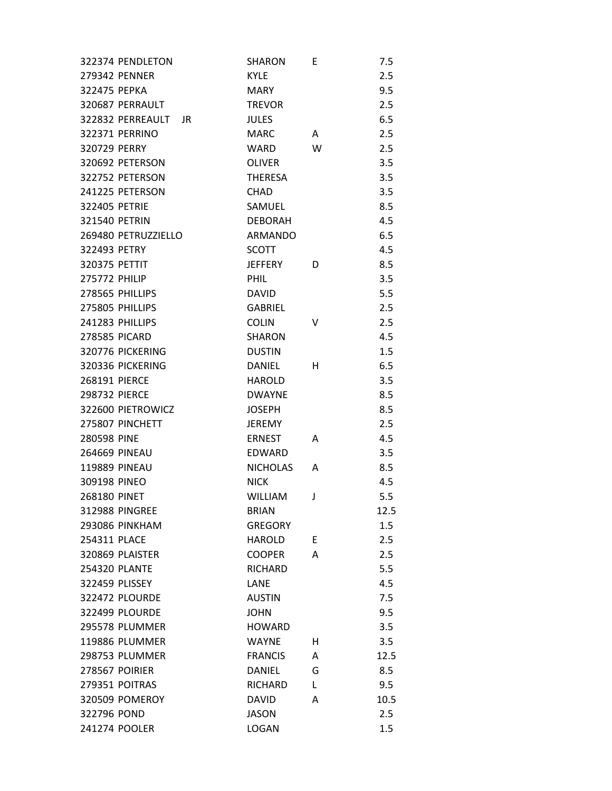|                      | 322374 PENDLETON        | <b>SHARON</b>   | E  | 7.5  |
|----------------------|-------------------------|-----------------|----|------|
|                      | 279342 PENNER           | <b>KYLE</b>     |    | 2.5  |
| 322475 PEPKA         |                         | <b>MARY</b>     |    | 9.5  |
|                      | 320687 PERRAULT         | <b>TREVOR</b>   |    | 2.5  |
|                      | 322832 PERREAULT<br>JR. | <b>JULES</b>    |    | 6.5  |
|                      | 322371 PERRINO          | <b>MARC</b>     | A  | 2.5  |
| 320729 PERRY         |                         | WARD            | W  | 2.5  |
|                      | 320692 PETERSON         | <b>OLIVER</b>   |    | 3.5  |
|                      | 322752 PETERSON         | <b>THERESA</b>  |    | 3.5  |
|                      | 241225 PETERSON         | <b>CHAD</b>     |    | 3.5  |
| 322405 PETRIE        |                         | SAMUEL          |    | 8.5  |
| 321540 PETRIN        |                         | <b>DEBORAH</b>  |    | 4.5  |
|                      | 269480 PETRUZZIELLO     | <b>ARMANDO</b>  |    | 6.5  |
| 322493 PETRY         |                         | <b>SCOTT</b>    |    | 4.5  |
| 320375 PETTIT        |                         | <b>JEFFERY</b>  | D  | 8.5  |
| <b>275772 PHILIP</b> |                         | <b>PHIL</b>     |    | 3.5  |
|                      | 278565 PHILLIPS         | <b>DAVID</b>    |    | 5.5  |
|                      | 275805 PHILLIPS         | <b>GABRIEL</b>  |    | 2.5  |
|                      | 241283 PHILLIPS         | <b>COLIN</b>    | v  | 2.5  |
| <b>278585 PICARD</b> |                         | <b>SHARON</b>   |    | 4.5  |
|                      | 320776 PICKERING        | <b>DUSTIN</b>   |    | 1.5  |
|                      | 320336 PICKERING        | DANIEL          | H. | 6.5  |
| 268191 PIERCE        |                         | <b>HAROLD</b>   |    | 3.5  |
| 298732 PIERCE        |                         | <b>DWAYNE</b>   |    | 8.5  |
|                      | 322600 PIETROWICZ       | <b>JOSEPH</b>   |    | 8.5  |
|                      | 275807 PINCHETT         | <b>JEREMY</b>   |    | 2.5  |
| 280598 PINE          |                         | <b>ERNEST</b>   | A  | 4.5  |
| <b>264669 PINEAU</b> |                         | EDWARD          |    | 3.5  |
| 119889 PINEAU        |                         | <b>NICHOLAS</b> | A  | 8.5  |
| 309198 PINEO         |                         | <b>NICK</b>     |    | 4.5  |
| 268180 PINET         |                         | <b>WILLIAM</b>  | J  | 5.5  |
|                      | <b>312988 PINGREE</b>   | <b>BRIAN</b>    |    | 12.5 |
|                      | <b>293086 PINKHAM</b>   | <b>GREGORY</b>  |    | 1.5  |
| 254311 PLACE         |                         | <b>HAROLD</b>   | E  | 2.5  |
|                      | 320869 PLAISTER         | <b>COOPER</b>   | A  | 2.5  |
| <b>254320 PLANTE</b> |                         | RICHARD         |    | 5.5  |
| 322459 PLISSEY       |                         | LANE            |    | 4.5  |
|                      | <b>322472 PLOURDE</b>   | <b>AUSTIN</b>   |    | 7.5  |
|                      | 322499 PLOURDE          | <b>JOHN</b>     |    | 9.5  |
|                      | 295578 PLUMMER          | <b>HOWARD</b>   |    | 3.5  |
|                      | 119886 PLUMMER          | <b>WAYNE</b>    | н  | 3.5  |
|                      | 298753 PLUMMER          | <b>FRANCIS</b>  | A  | 12.5 |
|                      | 278567 POIRIER          | <b>DANIEL</b>   | G  | 8.5  |
|                      | 279351 POITRAS          | RICHARD         | L  | 9.5  |
|                      | 320509 POMEROY          | <b>DAVID</b>    | A  | 10.5 |
| 322796 POND          |                         | <b>JASON</b>    |    | 2.5  |
|                      | 241274 POOLER           | <b>LOGAN</b>    |    | 1.5  |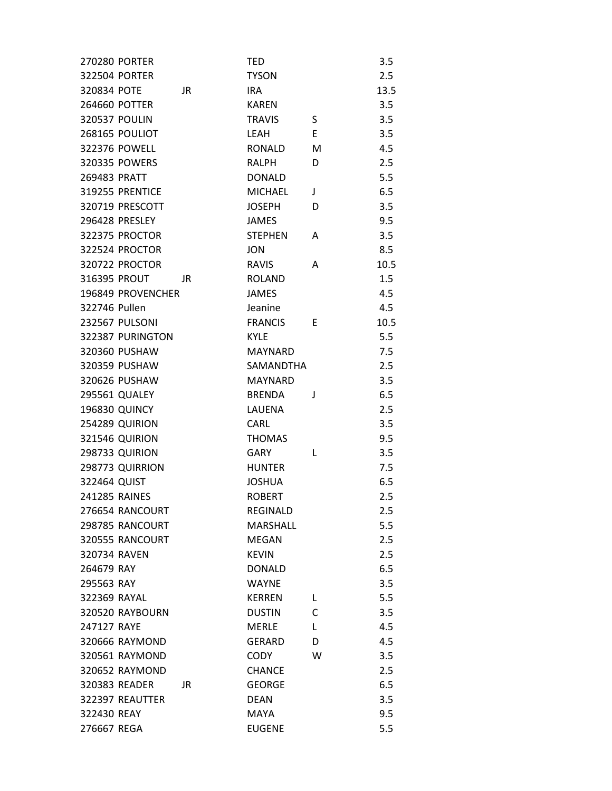| <b>270280 PORTER</b> |     | <b>TED</b>      |   | 3.5  |
|----------------------|-----|-----------------|---|------|
| 322504 PORTER        |     | <b>TYSON</b>    |   | 2.5  |
| 320834 POTE          | JR  | <b>IRA</b>      |   | 13.5 |
| 264660 POTTER        |     | <b>KAREN</b>    |   | 3.5  |
| 320537 POULIN        |     | <b>TRAVIS</b>   | S | 3.5  |
| 268165 POULIOT       |     | LEAH            | Ε | 3.5  |
| 322376 POWELL        |     | <b>RONALD</b>   | M | 4.5  |
| 320335 POWERS        |     | RALPH           | D | 2.5  |
| 269483 PRATT         |     | <b>DONALD</b>   |   | 5.5  |
| 319255 PRENTICE      |     | <b>MICHAEL</b>  | J | 6.5  |
| 320719 PRESCOTT      |     | <b>JOSEPH</b>   | D | 3.5  |
| 296428 PRESLEY       |     | <b>JAMES</b>    |   | 9.5  |
| 322375 PROCTOR       |     | <b>STEPHEN</b>  | A | 3.5  |
| 322524 PROCTOR       |     | <b>JON</b>      |   | 8.5  |
| 320722 PROCTOR       |     | <b>RAVIS</b>    | A | 10.5 |
| 316395 PROUT         | JR  | <b>ROLAND</b>   |   | 1.5  |
| 196849 PROVENCHER    |     | <b>JAMES</b>    |   | 4.5  |
| 322746 Pullen        |     | Jeanine         |   | 4.5  |
| 232567 PULSONI       |     | <b>FRANCIS</b>  | E | 10.5 |
| 322387 PURINGTON     |     | <b>KYLE</b>     |   | 5.5  |
| 320360 PUSHAW        |     | <b>MAYNARD</b>  |   | 7.5  |
| 320359 PUSHAW        |     | SAMANDTHA       |   | 2.5  |
| 320626 PUSHAW        |     | <b>MAYNARD</b>  |   | 3.5  |
| 295561 QUALEY        |     | <b>BRENDA</b>   | J | 6.5  |
| <b>196830 QUINCY</b> |     | LAUENA          |   | 2.5  |
| 254289 QUIRION       |     | CARL            |   | 3.5  |
| 321546 QUIRION       |     | <b>THOMAS</b>   |   | 9.5  |
| 298733 QUIRION       |     | <b>GARY</b>     | L | 3.5  |
| 298773 QUIRRION      |     | <b>HUNTER</b>   |   | 7.5  |
| 322464 QUIST         |     | <b>JOSHUA</b>   |   | 6.5  |
| 241285 RAINES        |     | <b>ROBERT</b>   |   | 2.5  |
| 276654 RANCOURT      |     | REGINALD        |   | 2.5  |
| 298785 RANCOURT      |     | <b>MARSHALL</b> |   | 5.5  |
| 320555 RANCOURT      |     | <b>MEGAN</b>    |   | 2.5  |
| 320734 RAVEN         |     | <b>KEVIN</b>    |   | 2.5  |
| 264679 RAY           |     | <b>DONALD</b>   |   | 6.5  |
| 295563 RAY           |     | <b>WAYNE</b>    |   | 3.5  |
| 322369 RAYAL         |     | <b>KERREN</b>   | L | 5.5  |
| 320520 RAYBOURN      |     | <b>DUSTIN</b>   | C | 3.5  |
| 247127 RAYE          |     | <b>MERLE</b>    | L | 4.5  |
| 320666 RAYMOND       |     | <b>GERARD</b>   | D | 4.5  |
| 320561 RAYMOND       |     | <b>CODY</b>     | W | 3.5  |
| 320652 RAYMOND       |     | <b>CHANCE</b>   |   | 2.5  |
| 320383 READER        | JR. | <b>GEORGE</b>   |   | 6.5  |
| 322397 REAUTTER      |     | <b>DEAN</b>     |   | 3.5  |
| 322430 REAY          |     | <b>MAYA</b>     |   | 9.5  |
| 276667 REGA          |     | <b>EUGENE</b>   |   | 5.5  |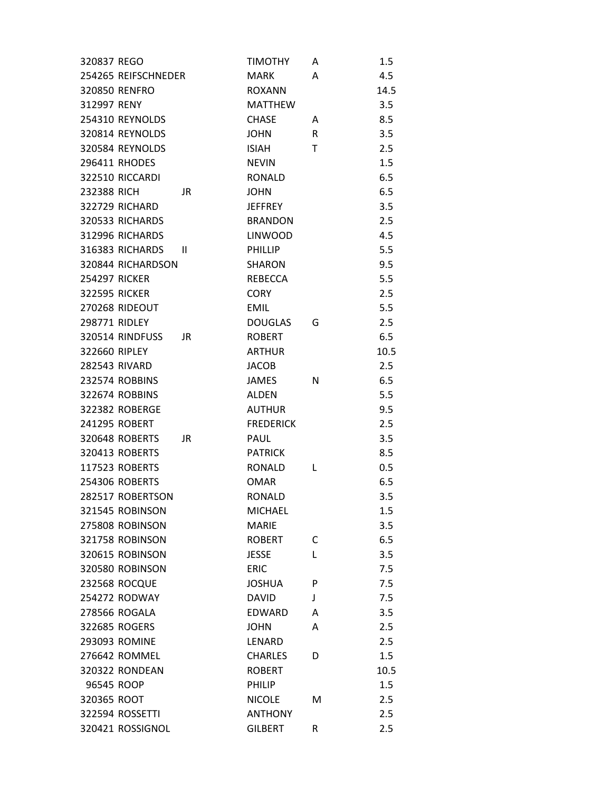| 320837 REGO          |                       |              | <b>TIMOTHY</b>   | Α | $1.5\,$ |
|----------------------|-----------------------|--------------|------------------|---|---------|
|                      | 254265 REIFSCHNEDER   |              | <b>MARK</b>      | A | 4.5     |
|                      | 320850 RENFRO         |              | <b>ROXANN</b>    |   | 14.5    |
| 312997 RENY          |                       |              | <b>MATTHEW</b>   |   | 3.5     |
|                      | 254310 REYNOLDS       |              | <b>CHASE</b>     | A | 8.5     |
|                      | 320814 REYNOLDS       |              | <b>JOHN</b>      | R | 3.5     |
|                      | 320584 REYNOLDS       |              | <b>ISIAH</b>     | T | 2.5     |
|                      | 296411 RHODES         |              | <b>NEVIN</b>     |   | 1.5     |
|                      | 322510 RICCARDI       |              | <b>RONALD</b>    |   | 6.5     |
| 232388 RICH          |                       | JR.          | <b>JOHN</b>      |   | 6.5     |
|                      | <b>322729 RICHARD</b> |              | <b>JEFFREY</b>   |   | 3.5     |
|                      | 320533 RICHARDS       |              | <b>BRANDON</b>   |   | 2.5     |
|                      | 312996 RICHARDS       |              | <b>LINWOOD</b>   |   | 4.5     |
|                      | 316383 RICHARDS       | $\mathbf{H}$ | <b>PHILLIP</b>   |   | 5.5     |
|                      | 320844 RICHARDSON     |              | SHARON           |   | 9.5     |
| <b>254297 RICKER</b> |                       |              | REBECCA          |   | 5.5     |
| <b>322595 RICKER</b> |                       |              | <b>CORY</b>      |   | 2.5     |
|                      | 270268 RIDEOUT        |              | <b>EMIL</b>      |   | 5.5     |
| 298771 RIDLEY        |                       |              | <b>DOUGLAS</b>   | G | 2.5     |
|                      | 320514 RINDFUSS       | JR           | <b>ROBERT</b>    |   | 6.5     |
| 322660 RIPLEY        |                       |              | <b>ARTHUR</b>    |   | 10.5    |
|                      | 282543 RIVARD         |              | JACOB            |   | 2.5     |
|                      | 232574 ROBBINS        |              | <b>JAMES</b>     | N | 6.5     |
|                      | 322674 ROBBINS        |              | <b>ALDEN</b>     |   | 5.5     |
|                      | 322382 ROBERGE        |              | <b>AUTHUR</b>    |   | 9.5     |
|                      | 241295 ROBERT         |              | <b>FREDERICK</b> |   | 2.5     |
|                      | 320648 ROBERTS        | JR           | <b>PAUL</b>      |   | 3.5     |
|                      | 320413 ROBERTS        |              | <b>PATRICK</b>   |   | 8.5     |
|                      | 117523 ROBERTS        |              | <b>RONALD</b>    | L | 0.5     |
|                      | 254306 ROBERTS        |              | OMAR             |   | 6.5     |
|                      | 282517 ROBERTSON      |              | <b>RONALD</b>    |   | 3.5     |
|                      | 321545 ROBINSON       |              | <b>MICHAEL</b>   |   | 1.5     |
|                      | 275808 ROBINSON       |              | <b>MARIE</b>     |   | 3.5     |
|                      | 321758 ROBINSON       |              | <b>ROBERT</b>    | C | 6.5     |
|                      | 320615 ROBINSON       |              | <b>JESSE</b>     | L | 3.5     |
|                      | 320580 ROBINSON       |              | <b>ERIC</b>      |   | 7.5     |
|                      | <b>232568 ROCQUE</b>  |              | <b>JOSHUA</b>    | P | 7.5     |
|                      | 254272 RODWAY         |              | <b>DAVID</b>     | J | 7.5     |
|                      | 278566 ROGALA         |              | <b>EDWARD</b>    | A | 3.5     |
|                      | 322685 ROGERS         |              | <b>JOHN</b>      | A | 2.5     |
|                      | 293093 ROMINE         |              | LENARD           |   | 2.5     |
|                      | 276642 ROMMEL         |              | <b>CHARLES</b>   | D | 1.5     |
|                      | <b>320322 RONDEAN</b> |              | <b>ROBERT</b>    |   | 10.5    |
| 96545 ROOP           |                       |              | <b>PHILIP</b>    |   | 1.5     |
| 320365 ROOT          |                       |              | <b>NICOLE</b>    | м | 2.5     |
|                      | 322594 ROSSETTI       |              | <b>ANTHONY</b>   |   | 2.5     |
|                      | 320421 ROSSIGNOL      |              | <b>GILBERT</b>   | R | 2.5     |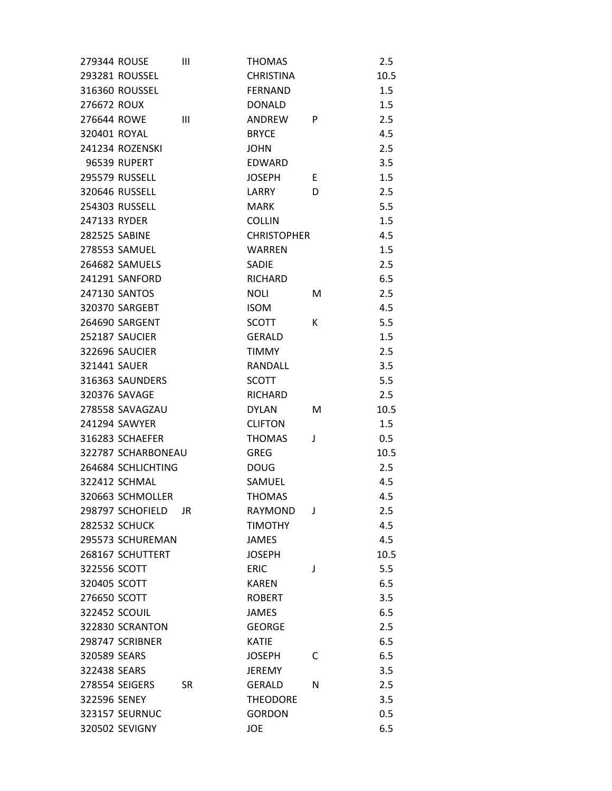| 279344 ROUSE         |                       | Ш         | <b>THOMAS</b>      |   | 2.5  |
|----------------------|-----------------------|-----------|--------------------|---|------|
|                      | 293281 ROUSSEL        |           | <b>CHRISTINA</b>   |   | 10.5 |
|                      | 316360 ROUSSEL        |           | <b>FERNAND</b>     |   | 1.5  |
| 276672 ROUX          |                       |           | <b>DONALD</b>      |   | 1.5  |
| 276644 ROWE          |                       | Ш         | ANDREW             | P | 2.5  |
| 320401 ROYAL         |                       |           | <b>BRYCE</b>       |   | 4.5  |
|                      | 241234 ROZENSKI       |           | <b>JOHN</b>        |   | 2.5  |
|                      | 96539 RUPERT          |           | <b>EDWARD</b>      |   | 3.5  |
|                      | 295579 RUSSELL        |           | <b>JOSEPH</b>      | E | 1.5  |
|                      | 320646 RUSSELL        |           | LARRY              | D | 2.5  |
|                      | 254303 RUSSELL        |           | <b>MARK</b>        |   | 5.5  |
| 247133 RYDER         |                       |           | <b>COLLIN</b>      |   | 1.5  |
| <b>282525 SABINE</b> |                       |           | <b>CHRISTOPHER</b> |   | 4.5  |
|                      | 278553 SAMUEL         |           | <b>WARREN</b>      |   | 1.5  |
|                      | 264682 SAMUELS        |           | <b>SADIE</b>       |   | 2.5  |
|                      | 241291 SANFORD        |           | <b>RICHARD</b>     |   | 6.5  |
|                      | 247130 SANTOS         |           | <b>NOLI</b>        | М | 2.5  |
|                      | 320370 SARGEBT        |           | <b>ISOM</b>        |   | 4.5  |
|                      | 264690 SARGENT        |           | SCOTT              | К | 5.5  |
|                      | 252187 SAUCIER        |           | <b>GERALD</b>      |   | 1.5  |
|                      | 322696 SAUCIER        |           | <b>TIMMY</b>       |   | 2.5  |
| 321441 SAUER         |                       |           | RANDALL            |   | 3.5  |
|                      | 316363 SAUNDERS       |           | <b>SCOTT</b>       |   | 5.5  |
|                      | 320376 SAVAGE         |           | <b>RICHARD</b>     |   | 2.5  |
|                      | 278558 SAVAGZAU       |           | <b>DYLAN</b>       | м | 10.5 |
|                      | 241294 SAWYER         |           | <b>CLIFTON</b>     |   | 1.5  |
|                      | 316283 SCHAEFER       |           | <b>THOMAS</b>      | J | 0.5  |
|                      | 322787 SCHARBONEAU    |           | <b>GREG</b>        |   | 10.5 |
|                      | 264684 SCHLICHTING    |           | <b>DOUG</b>        |   | 2.5  |
|                      | 322412 SCHMAL         |           | SAMUEL             |   | 4.5  |
|                      | 320663 SCHMOLLER      |           | <b>THOMAS</b>      |   | 4.5  |
|                      | 298797 SCHOFIELD      | JR        | <b>RAYMOND</b>     | J | 2.5  |
|                      | <b>282532 SCHUCK</b>  |           | <b>TIMOTHY</b>     |   | 4.5  |
|                      | 295573 SCHUREMAN      |           | <b>JAMES</b>       |   | 4.5  |
|                      | 268167 SCHUTTERT      |           | <b>JOSEPH</b>      |   | 10.5 |
| 322556 SCOTT         |                       |           | <b>ERIC</b>        | J | 5.5  |
| 320405 SCOTT         |                       |           | <b>KAREN</b>       |   | 6.5  |
| 276650 SCOTT         |                       |           | <b>ROBERT</b>      |   | 3.5  |
|                      | 322452 SCOUIL         |           | <b>JAMES</b>       |   | 6.5  |
|                      | 322830 SCRANTON       |           | <b>GEORGE</b>      |   | 2.5  |
|                      | 298747 SCRIBNER       |           | <b>KATIE</b>       |   | 6.5  |
| 320589 SEARS         |                       |           | <b>JOSEPH</b>      | C | 6.5  |
| 322438 SEARS         |                       |           | <b>JEREMY</b>      |   | 3.5  |
|                      | 278554 SEIGERS        | <b>SR</b> | <b>GERALD</b>      | N | 2.5  |
| 322596 SENEY         |                       |           | <b>THEODORE</b>    |   | 3.5  |
|                      | <b>323157 SEURNUC</b> |           | <b>GORDON</b>      |   | 0.5  |
|                      | 320502 SEVIGNY        |           | JOE                |   | 6.5  |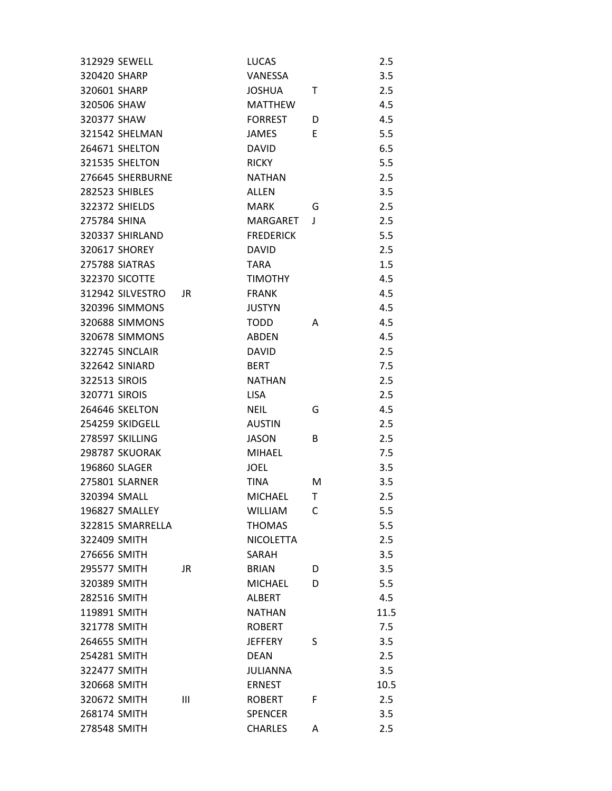| 312929 SEWELL         |    | <b>LUCAS</b>     |   | 2.5  |
|-----------------------|----|------------------|---|------|
| 320420 SHARP          |    | VANESSA          |   | 3.5  |
| 320601 SHARP          |    | <b>JOSHUA</b>    | Т | 2.5  |
| 320506 SHAW           |    | <b>MATTHEW</b>   |   | 4.5  |
| 320377 SHAW           |    | <b>FORREST</b>   | D | 4.5  |
| 321542 SHELMAN        |    | <b>JAMES</b>     | E | 5.5  |
| 264671 SHELTON        |    | <b>DAVID</b>     |   | 6.5  |
| 321535 SHELTON        |    | <b>RICKY</b>     |   | 5.5  |
| 276645 SHERBURNE      |    | <b>NATHAN</b>    |   | 2.5  |
| 282523 SHIBLES        |    | ALLEN            |   | 3.5  |
| 322372 SHIELDS        |    | <b>MARK</b>      | G | 2.5  |
| 275784 SHINA          |    | MARGARET         | J | 2.5  |
| 320337 SHIRLAND       |    | <b>FREDERICK</b> |   | 5.5  |
| 320617 SHOREY         |    | <b>DAVID</b>     |   | 2.5  |
| 275788 SIATRAS        |    | <b>TARA</b>      |   | 1.5  |
| 322370 SICOTTE        |    | <b>TIMOTHY</b>   |   | 4.5  |
| 312942 SILVESTRO      | JR | <b>FRANK</b>     |   | 4.5  |
| 320396 SIMMONS        |    | <b>JUSTYN</b>    |   | 4.5  |
| 320688 SIMMONS        |    | <b>TODD</b>      | A | 4.5  |
| 320678 SIMMONS        |    | ABDEN            |   | 4.5  |
| 322745 SINCLAIR       |    | <b>DAVID</b>     |   | 2.5  |
| 322642 SINIARD        |    | <b>BERT</b>      |   | 7.5  |
| 322513 SIROIS         |    | <b>NATHAN</b>    |   | 2.5  |
| 320771 SIROIS         |    | <b>LISA</b>      |   | 2.5  |
| 264646 SKELTON        |    | <b>NEIL</b>      | G | 4.5  |
| 254259 SKIDGELL       |    | <b>AUSTIN</b>    |   | 2.5  |
| 278597 SKILLING       |    | <b>JASON</b>     | B | 2.5  |
| 298787 SKUORAK        |    | <b>MIHAEL</b>    |   | 7.5  |
| 196860 SLAGER         |    | <b>JOEL</b>      |   | 3.5  |
| <b>275801 SLARNER</b> |    | <b>TINA</b>      | м | 3.5  |
| 320394 SMALL          |    | <b>MICHAEL</b>   | T | 2.5  |
| 196827 SMALLEY        |    | <b>WILLIAM</b>   | C | 5.5  |
| 322815 SMARRELLA      |    | <b>THOMAS</b>    |   | 5.5  |
| 322409 SMITH          |    | <b>NICOLETTA</b> |   | 2.5  |
| 276656 SMITH          |    | SARAH            |   | 3.5  |
| 295577 SMITH          | JR | <b>BRIAN</b>     | D | 3.5  |
| 320389 SMITH          |    | <b>MICHAEL</b>   | D | 5.5  |
| 282516 SMITH          |    | <b>ALBERT</b>    |   | 4.5  |
| 119891 SMITH          |    | <b>NATHAN</b>    |   | 11.5 |
| 321778 SMITH          |    | <b>ROBERT</b>    |   | 7.5  |
| 264655 SMITH          |    | <b>JEFFERY</b>   | S | 3.5  |
| 254281 SMITH          |    | <b>DEAN</b>      |   | 2.5  |
| 322477 SMITH          |    | JULIANNA         |   | 3.5  |
| 320668 SMITH          |    | <b>ERNEST</b>    |   | 10.5 |
| 320672 SMITH          | Ш  | <b>ROBERT</b>    | F | 2.5  |
| 268174 SMITH          |    | <b>SPENCER</b>   |   | 3.5  |
| 278548 SMITH          |    | <b>CHARLES</b>   | Α | 2.5  |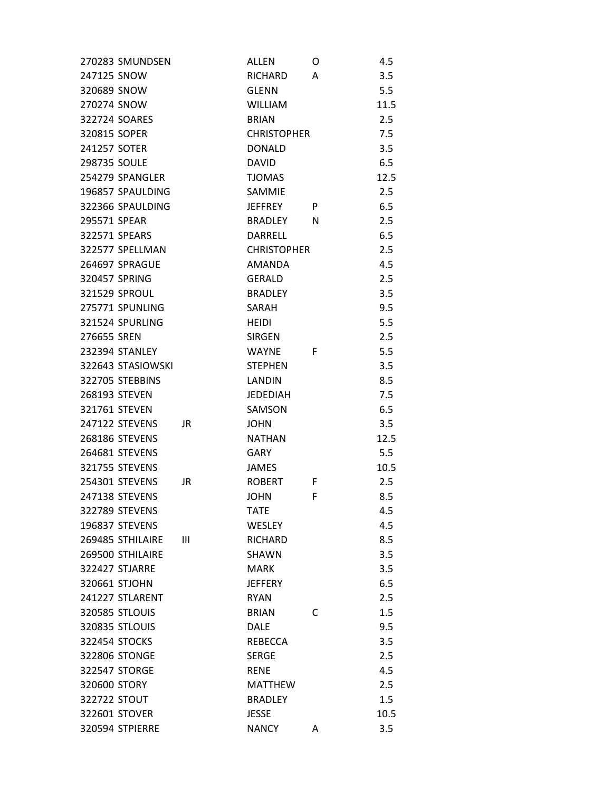| 270283 SMUNDSEN       |    | ALLEN              | O | 4.5  |
|-----------------------|----|--------------------|---|------|
| 247125 SNOW           |    | <b>RICHARD</b>     | A | 3.5  |
| 320689 SNOW           |    | <b>GLENN</b>       |   | 5.5  |
| 270274 SNOW           |    | <b>WILLIAM</b>     |   | 11.5 |
| 322724 SOARES         |    | <b>BRIAN</b>       |   | 2.5  |
| 320815 SOPER          |    | <b>CHRISTOPHER</b> |   | 7.5  |
| 241257 SOTER          |    | <b>DONALD</b>      |   | 3.5  |
| 298735 SOULE          |    | <b>DAVID</b>       |   | 6.5  |
| 254279 SPANGLER       |    | <b>TJOMAS</b>      |   | 12.5 |
| 196857 SPAULDING      |    | SAMMIE             |   | 2.5  |
| 322366 SPAULDING      |    | <b>JEFFREY</b>     | P | 6.5  |
| 295571 SPEAR          |    | BRADLEY            | N | 2.5  |
| 322571 SPEARS         |    | DARRELL            |   | 6.5  |
| 322577 SPELLMAN       |    | <b>CHRISTOPHER</b> |   | 2.5  |
| 264697 SPRAGUE        |    | <b>AMANDA</b>      |   | 4.5  |
| 320457 SPRING         |    | <b>GERALD</b>      |   | 2.5  |
| 321529 SPROUL         |    | <b>BRADLEY</b>     |   | 3.5  |
| 275771 SPUNLING       |    | SARAH              |   | 9.5  |
| 321524 SPURLING       |    | <b>HEIDI</b>       |   | 5.5  |
| 276655 SREN           |    | <b>SIRGEN</b>      |   | 2.5  |
| 232394 STANLEY        |    | <b>WAYNE</b>       | F | 5.5  |
| 322643 STASIOWSKI     |    | <b>STEPHEN</b>     |   | 3.5  |
| 322705 STEBBINS       |    | LANDIN             |   | 8.5  |
| 268193 STEVEN         |    | <b>JEDEDIAH</b>    |   | 7.5  |
| 321761 STEVEN         |    | SAMSON             |   | 6.5  |
| 247122 STEVENS        | JR | <b>JOHN</b>        |   | 3.5  |
| 268186 STEVENS        |    | <b>NATHAN</b>      |   | 12.5 |
| 264681 STEVENS        |    | <b>GARY</b>        |   | 5.5  |
| 321755 STEVENS        |    | <b>JAMES</b>       |   | 10.5 |
| 254301 STEVENS        | JR | <b>ROBERT</b>      | F | 2.5  |
| 247138 STEVENS        |    | <b>JOHN</b>        | F | 8.5  |
| 322789 STEVENS        |    | <b>TATE</b>        |   | 4.5  |
| 196837 STEVENS        |    | <b>WESLEY</b>      |   | 4.5  |
| 269485 STHILAIRE      | Ш  | <b>RICHARD</b>     |   | 8.5  |
| 269500 STHILAIRE      |    | SHAWN              |   | 3.5  |
| 322427 STJARRE        |    | <b>MARK</b>        |   | 3.5  |
| 320661 STJOHN         |    | <b>JEFFERY</b>     |   | 6.5  |
| 241227 STLARENT       |    | <b>RYAN</b>        |   | 2.5  |
| <b>320585 STLOUIS</b> |    | <b>BRIAN</b>       | C | 1.5  |
| 320835 STLOUIS        |    | <b>DALE</b>        |   | 9.5  |
| 322454 STOCKS         |    | <b>REBECCA</b>     |   | 3.5  |
| 322806 STONGE         |    | <b>SERGE</b>       |   | 2.5  |
| 322547 STORGE         |    | <b>RENE</b>        |   | 4.5  |
| 320600 STORY          |    | <b>MATTHEW</b>     |   | 2.5  |
| 322722 STOUT          |    | <b>BRADLEY</b>     |   | 1.5  |
| 322601 STOVER         |    | <b>JESSE</b>       |   | 10.5 |
| 320594 STPIERRE       |    | <b>NANCY</b>       | A | 3.5  |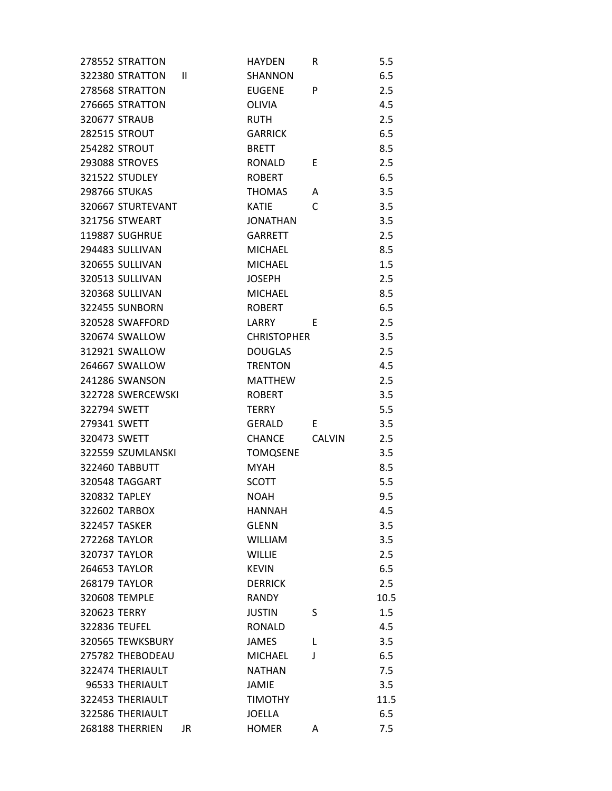| 278552 STRATTON       |              | <b>HAYDEN</b>      | R             | 5.5  |
|-----------------------|--------------|--------------------|---------------|------|
| 322380 STRATTON       | $\mathbf{I}$ | <b>SHANNON</b>     |               | 6.5  |
| 278568 STRATTON       |              | <b>EUGENE</b>      | P             | 2.5  |
| 276665 STRATTON       |              | <b>OLIVIA</b>      |               | 4.5  |
| 320677 STRAUB         |              | <b>RUTH</b>        |               | 2.5  |
| <b>282515 STROUT</b>  |              | <b>GARRICK</b>     |               | 6.5  |
| 254282 STROUT         |              | <b>BRETT</b>       |               | 8.5  |
| <b>293088 STROVES</b> |              | <b>RONALD</b>      | E             | 2.5  |
| 321522 STUDLEY        |              | <b>ROBERT</b>      |               | 6.5  |
| 298766 STUKAS         |              | <b>THOMAS</b>      | A             | 3.5  |
| 320667 STURTEVANT     |              | KATIE              | C             | 3.5  |
| 321756 STWEART        |              | <b>JONATHAN</b>    |               | 3.5  |
| 119887 SUGHRUE        |              | <b>GARRETT</b>     |               | 2.5  |
| 294483 SULLIVAN       |              | <b>MICHAEL</b>     |               | 8.5  |
| 320655 SULLIVAN       |              | <b>MICHAEL</b>     |               | 1.5  |
| 320513 SULLIVAN       |              | <b>JOSEPH</b>      |               | 2.5  |
| 320368 SULLIVAN       |              | <b>MICHAEL</b>     |               | 8.5  |
| 322455 SUNBORN        |              | <b>ROBERT</b>      |               | 6.5  |
| 320528 SWAFFORD       |              | LARRY              | E             | 2.5  |
| 320674 SWALLOW        |              | <b>CHRISTOPHER</b> |               | 3.5  |
| 312921 SWALLOW        |              | <b>DOUGLAS</b>     |               | 2.5  |
| 264667 SWALLOW        |              | <b>TRENTON</b>     |               | 4.5  |
| 241286 SWANSON        |              | <b>MATTHEW</b>     |               | 2.5  |
| 322728 SWERCEWSKI     |              | <b>ROBERT</b>      |               | 3.5  |
| 322794 SWETT          |              | <b>TERRY</b>       |               | 5.5  |
| 279341 SWETT          |              | GERALD             | E.            | 3.5  |
| 320473 SWETT          |              | <b>CHANCE</b>      | <b>CALVIN</b> | 2.5  |
| 322559 SZUMLANSKI     |              | <b>TOMQSENE</b>    |               | 3.5  |
| <b>322460 TABBUTT</b> |              | <b>MYAH</b>        |               | 8.5  |
| 320548 TAGGART        |              | SCOTT              |               | 5.5  |
| 320832 TAPLEY         |              | <b>NOAH</b>        |               | 9.5  |
| 322602 TARBOX         |              | <b>HANNAH</b>      |               | 4.5  |
| <b>322457 TASKER</b>  |              | <b>GLENN</b>       |               | 3.5  |
| <b>272268 TAYLOR</b>  |              | <b>WILLIAM</b>     |               | 3.5  |
| <b>320737 TAYLOR</b>  |              | <b>WILLIE</b>      |               | 2.5  |
| <b>264653 TAYLOR</b>  |              | <b>KEVIN</b>       |               | 6.5  |
| 268179 TAYLOR         |              | <b>DERRICK</b>     |               | 2.5  |
| 320608 TEMPLE         |              | <b>RANDY</b>       |               | 10.5 |
| 320623 TERRY          |              | <b>JUSTIN</b>      | S             | 1.5  |
| 322836 TEUFEL         |              | <b>RONALD</b>      |               | 4.5  |
| 320565 TEWKSBURY      |              | <b>JAMES</b>       | L             | 3.5  |
| 275782 THEBODEAU      |              | <b>MICHAEL</b>     | J             | 6.5  |
| 322474 THERIAULT      |              | <b>NATHAN</b>      |               | 7.5  |
| 96533 THERIAULT       |              | <b>JAMIE</b>       |               | 3.5  |
| 322453 THERIAULT      |              | <b>TIMOTHY</b>     |               | 11.5 |
| 322586 THERIAULT      |              | <b>JOELLA</b>      |               | 6.5  |
| 268188 THERRIEN       | JR           | <b>HOMER</b>       | A             | 7.5  |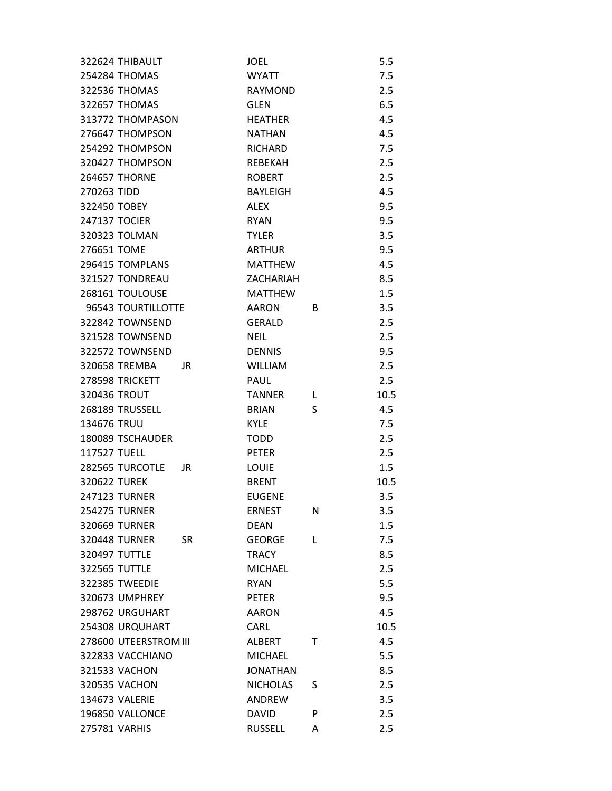| 322624 THIBAULT                   | JOEL            |   | 5.5  |
|-----------------------------------|-----------------|---|------|
| 254284 THOMAS                     | <b>WYATT</b>    |   | 7.5  |
| 322536 THOMAS                     | RAYMOND         |   | 2.5  |
| 322657 THOMAS                     | <b>GLEN</b>     |   | 6.5  |
| 313772 THOMPASON                  | <b>HEATHER</b>  |   | 4.5  |
| 276647 THOMPSON                   | <b>NATHAN</b>   |   | 4.5  |
| 254292 THOMPSON                   | <b>RICHARD</b>  |   | 7.5  |
| 320427 THOMPSON                   | <b>REBEKAH</b>  |   | 2.5  |
| <b>264657 THORNE</b>              | <b>ROBERT</b>   |   | 2.5  |
| 270263 TIDD                       | <b>BAYLEIGH</b> |   | 4.5  |
| 322450 TOBEY                      | ALEX            |   | 9.5  |
| 247137 TOCIER                     | <b>RYAN</b>     |   | 9.5  |
| 320323 TOLMAN                     | <b>TYLER</b>    |   | 3.5  |
| 276651 TOME                       | <b>ARTHUR</b>   |   | 9.5  |
| 296415 TOMPLANS                   | <b>MATTHEW</b>  |   | 4.5  |
| 321527 TONDREAU                   | ZACHARIAH       |   | 8.5  |
| 268161 TOULOUSE                   | <b>MATTHFW</b>  |   | 1.5  |
| 96543 TOURTILLOTTE                | <b>AARON</b>    | B | 3.5  |
| 322842 TOWNSEND                   | <b>GERALD</b>   |   | 2.5  |
| 321528 TOWNSEND                   | <b>NEIL</b>     |   | 2.5  |
| 322572 TOWNSEND                   | <b>DENNIS</b>   |   | 9.5  |
| 320658 TREMBA<br>JR               | <b>WILLIAM</b>  |   | 2.5  |
| 278598 TRICKETT                   | <b>PAUL</b>     |   | 2.5  |
| 320436 TROUT                      | <b>TANNER</b>   | L | 10.5 |
| 268189 TRUSSELL                   | <b>BRIAN</b>    | S | 4.5  |
| 134676 TRUU                       | <b>KYLE</b>     |   | 7.5  |
| 180089 TSCHAUDER                  | <b>TODD</b>     |   | 2.5  |
| 117527 TUELL                      | <b>PETER</b>    |   | 2.5  |
| 282565 TURCOTLE<br>JR             | LOUIE           |   | 1.5  |
| 320622 TUREK                      | <b>BRENT</b>    |   | 10.5 |
| <b>247123 TURNER</b>              | <b>EUGENE</b>   |   | 3.5  |
| <b>254275 TURNER</b>              | <b>ERNEST</b>   | N | 3.5  |
| 320669 TURNER                     | <b>DEAN</b>     |   | 1.5  |
| <b>320448 TURNER</b><br><b>SR</b> | <b>GEORGE</b>   | L | 7.5  |
| 320497 TUTTLE                     | <b>TRACY</b>    |   | 8.5  |
| 322565 TUTTLE                     | <b>MICHAEL</b>  |   | 2.5  |
| <b>322385 TWEEDIE</b>             | <b>RYAN</b>     |   | 5.5  |
| 320673 UMPHREY                    | <b>PETER</b>    |   | 9.5  |
| 298762 URGUHART                   | <b>AARON</b>    |   | 4.5  |
| 254308 URQUHART                   | CARL            |   | 10.5 |
| 278600 UTEERSTROM III             | ALBERT          | т | 4.5  |
| 322833 VACCHIANO                  | <b>MICHAEL</b>  |   | 5.5  |
| 321533 VACHON                     | <b>JONATHAN</b> |   | 8.5  |
| 320535 VACHON                     | <b>NICHOLAS</b> | S | 2.5  |
| 134673 VALERIE                    | ANDREW          |   | 3.5  |
| 196850 VALLONCE                   | DAVID           | P | 2.5  |
| 275781 VARHIS                     | <b>RUSSELL</b>  | A | 2.5  |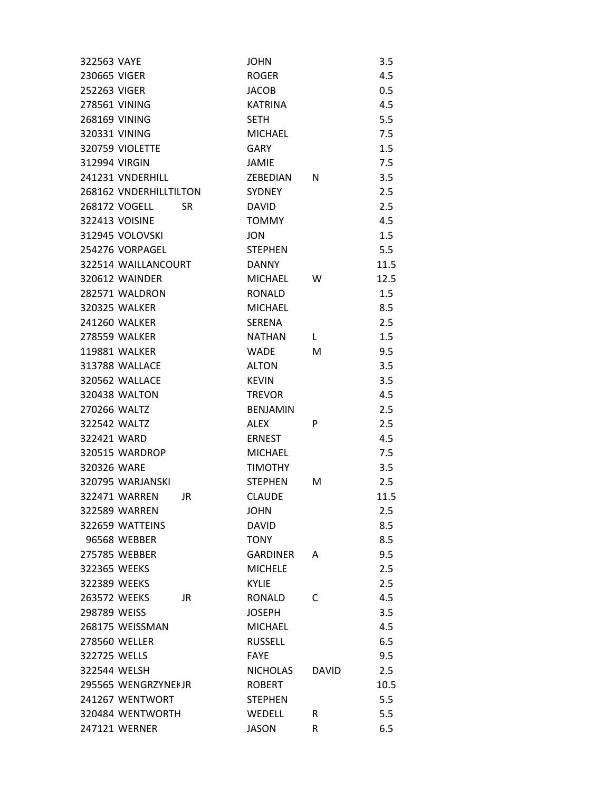| 322563 VAYE  |                        |     | <b>JOHN</b>     |              | 3.5  |
|--------------|------------------------|-----|-----------------|--------------|------|
| 230665 VIGER |                        |     | <b>ROGER</b>    |              | 4.5  |
| 252263 VIGER |                        |     | <b>JACOB</b>    |              | 0.5  |
|              | 278561 VINING          |     | <b>KATRINA</b>  |              | 4.5  |
|              | 268169 VINING          |     | <b>SETH</b>     |              | 5.5  |
|              | 320331 VINING          |     | <b>MICHAEL</b>  |              | 7.5  |
|              | 320759 VIOLETTE        |     | <b>GARY</b>     |              | 1.5  |
|              | 312994 VIRGIN          |     | JAMIE           |              | 7.5  |
|              | 241231 VNDERHILL       |     | ZEBEDIAN        | N            | 3.5  |
|              | 268162 VNDERHILLTILTON |     | <b>SYDNEY</b>   |              | 2.5  |
|              | 268172 VOGELL          | SR  | <b>DAVID</b>    |              | 2.5  |
|              | 322413 VOISINE         |     | <b>TOMMY</b>    |              | 4.5  |
|              | 312945 VOLOVSKI        |     | <b>JON</b>      |              | 1.5  |
|              | 254276 VORPAGEL        |     | <b>STEPHEN</b>  |              | 5.5  |
|              | 322514 WAILLANCOURT    |     | <b>DANNY</b>    |              | 11.5 |
|              | 320612 WAINDER         |     | <b>MICHAEL</b>  | w            | 12.5 |
|              | 282571 WALDRON         |     | <b>RONALD</b>   |              | 1.5  |
|              | <b>320325 WALKER</b>   |     | <b>MICHAEL</b>  |              | 8.5  |
|              | 241260 WALKER          |     | <b>SERENA</b>   |              | 2.5  |
|              | <b>278559 WALKER</b>   |     | <b>NATHAN</b>   | L.           | 1.5  |
|              | 119881 WALKER          |     | <b>WADE</b>     | M            | 9.5  |
|              | 313788 WALLACE         |     | <b>ALTON</b>    |              | 3.5  |
|              | 320562 WALLACE         |     | <b>KEVIN</b>    |              | 3.5  |
|              | 320438 WALTON          |     | <b>TREVOR</b>   |              | 4.5  |
|              | 270266 WALTZ           |     | <b>BENJAMIN</b> |              | 2.5  |
|              | 322542 WALTZ           |     | <b>ALEX</b>     | P            | 2.5  |
| 322421 WARD  |                        |     | <b>ERNEST</b>   |              | 4.5  |
|              | 320515 WARDROP         |     | <b>MICHAEL</b>  |              | 7.5  |
| 320326 WARE  |                        |     | <b>TIMOTHY</b>  |              | 3.5  |
|              | 320795 WARJANSKI       |     | <b>STEPHEN</b>  | M            | 2.5  |
|              | 322471 WARRFN          | JR  | <b>CLAUDE</b>   |              | 11.5 |
|              | 322589 WARREN          |     | <b>JOHN</b>     |              | 2.5  |
|              | 322659 WATTEINS        |     | <b>DAVID</b>    |              | 8.5  |
|              | 96568 WEBBER           |     | TONY            |              | 8.5  |
|              | 275785 WEBBER          |     | <b>GARDINER</b> | A            | 9.5  |
|              | 322365 WEEKS           |     | <b>MICHELE</b>  |              | 2.5  |
|              | 322389 WEEKS           |     | <b>KYLIE</b>    |              | 2.5  |
|              | 263572 WEEKS           | JR. | <b>RONALD</b>   | C            | 4.5  |
| 298789 WEISS |                        |     | <b>JOSEPH</b>   |              | 3.5  |
|              | 268175 WEISSMAN        |     | <b>MICHAEL</b>  |              | 4.5  |
|              | 278560 WELLER          |     | <b>RUSSELL</b>  |              | 6.5  |
| 322725 WELLS |                        |     | <b>FAYE</b>     |              | 9.5  |
|              | 322544 WELSH           |     | <b>NICHOLAS</b> | <b>DAVID</b> | 2.5  |
|              | 295565 WENGRZYNEKJR    |     | <b>ROBERT</b>   |              | 10.5 |
|              | 241267 WENTWORT        |     | <b>STEPHEN</b>  |              | 5.5  |
|              | 320484 WENTWORTH       |     | WEDELL          | R            | 5.5  |
|              | 247121 WERNER          |     | <b>JASON</b>    | R            | 6.5  |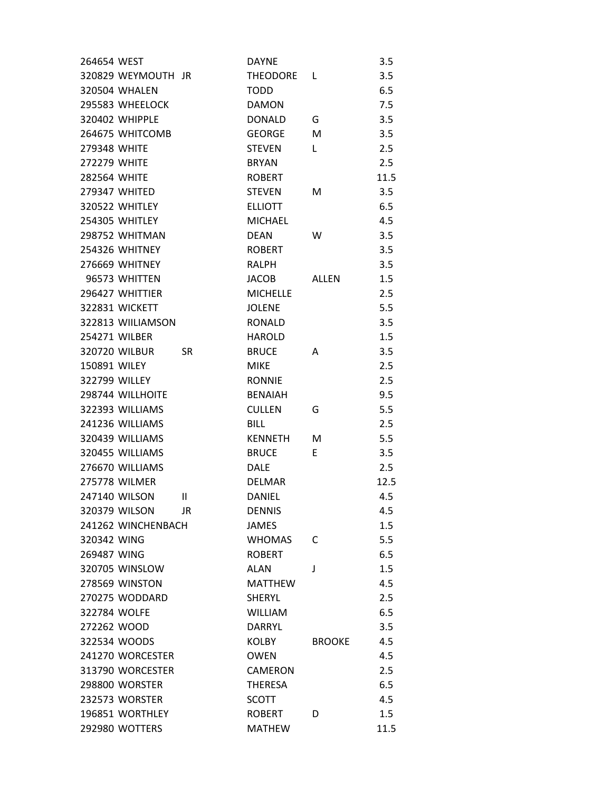| 264654 WEST         |                       |               | <b>DAYNE</b>    |               | 3.5  |
|---------------------|-----------------------|---------------|-----------------|---------------|------|
|                     | 320829 WEYMOUTH JR    |               | THEODORE L      |               | 3.5  |
|                     | 320504 WHALEN         |               | <b>TODD</b>     |               | 6.5  |
|                     | 295583 WHEELOCK       |               | <b>DAMON</b>    |               | 7.5  |
|                     | 320402 WHIPPLE        |               | <b>DONALD</b>   | G             | 3.5  |
|                     | 264675 WHITCOMB       |               | <b>GEORGE</b>   | м             | 3.5  |
| <b>279348 WHITE</b> |                       |               | <b>STEVEN</b>   | L             | 2.5  |
| <b>272279 WHITE</b> |                       |               | <b>BRYAN</b>    |               | 2.5  |
| <b>282564 WHITE</b> |                       |               | <b>ROBERT</b>   |               | 11.5 |
|                     | 279347 WHITED         |               | <b>STEVEN</b>   | М             | 3.5  |
|                     | 320522 WHITLEY        |               | <b>ELLIOTT</b>  |               | 6.5  |
|                     | <b>254305 WHITLEY</b> |               | <b>MICHAEL</b>  |               | 4.5  |
|                     | 298752 WHITMAN        |               | <b>DEAN</b>     | W             | 3.5  |
|                     | 254326 WHITNEY        |               | <b>ROBERT</b>   |               | 3.5  |
|                     | 276669 WHITNEY        |               | RALPH           |               | 3.5  |
|                     | 96573 WHITTEN         |               | <b>JACOB</b>    | ALLEN         | 1.5  |
|                     | 296427 WHITTIER       |               | <b>MICHELLE</b> |               | 2.5  |
|                     | <b>322831 WICKETT</b> |               | <b>JOLENE</b>   |               | 5.5  |
|                     | 322813 WIILIAMSON     |               | <b>RONALD</b>   |               | 3.5  |
|                     | 254271 WILBER         |               | <b>HAROLD</b>   |               | 1.5  |
|                     | 320720 WILBUR         | <b>SR</b>     | <b>BRUCE</b>    | А             | 3.5  |
| <b>150891 WILEY</b> |                       |               | <b>MIKE</b>     |               | 2.5  |
|                     | 322799 WILLEY         |               | <b>RONNIE</b>   |               | 2.5  |
|                     | 298744 WILLHOITE      |               | <b>BENAIAH</b>  |               | 9.5  |
|                     | 322393 WILLIAMS       |               | <b>CULLEN</b>   | G             | 5.5  |
|                     | 241236 WILLIAMS       |               | <b>BILL</b>     |               | 2.5  |
|                     | 320439 WILLIAMS       |               | <b>KENNETH</b>  | м             | 5.5  |
|                     | 320455 WILLIAMS       |               | <b>BRUCE</b>    | E.            | 3.5  |
|                     | 276670 WILLIAMS       |               | <b>DALE</b>     |               | 2.5  |
|                     | <b>275778 WILMER</b>  |               | <b>DELMAR</b>   |               | 12.5 |
|                     | 247140 WILSON         | $\mathsf{II}$ | <b>DANIEL</b>   |               | 4.5  |
|                     | 320379 WILSON         | JR            | <b>DENNIS</b>   |               | 4.5  |
|                     | 241262 WINCHENBACH    |               | <b>JAMES</b>    |               | 1.5  |
| 320342 WING         |                       |               | <b>WHOMAS</b>   | C             | 5.5  |
| 269487 WING         |                       |               | <b>ROBERT</b>   |               | 6.5  |
|                     | 320705 WINSLOW        |               | <b>ALAN</b>     | J             | 1.5  |
|                     | <b>278569 WINSTON</b> |               | <b>MATTHEW</b>  |               | 4.5  |
|                     | 270275 WODDARD        |               | <b>SHERYL</b>   |               | 2.5  |
| 322784 WOLFE        |                       |               | <b>WILLIAM</b>  |               | 6.5  |
| 272262 WOOD         |                       |               | <b>DARRYL</b>   |               | 3.5  |
|                     | 322534 WOODS          |               | <b>KOLBY</b>    | <b>BROOKE</b> | 4.5  |
|                     | 241270 WORCESTER      |               | <b>OWEN</b>     |               | 4.5  |
|                     | 313790 WORCESTER      |               | <b>CAMERON</b>  |               | 2.5  |
|                     | <b>298800 WORSTER</b> |               | <b>THERESA</b>  |               | 6.5  |
|                     | 232573 WORSTER        |               | <b>SCOTT</b>    |               | 4.5  |
|                     | 196851 WORTHLEY       |               | <b>ROBERT</b>   | D             | 1.5  |
|                     | 292980 WOTTERS        |               | <b>MATHEW</b>   |               | 11.5 |